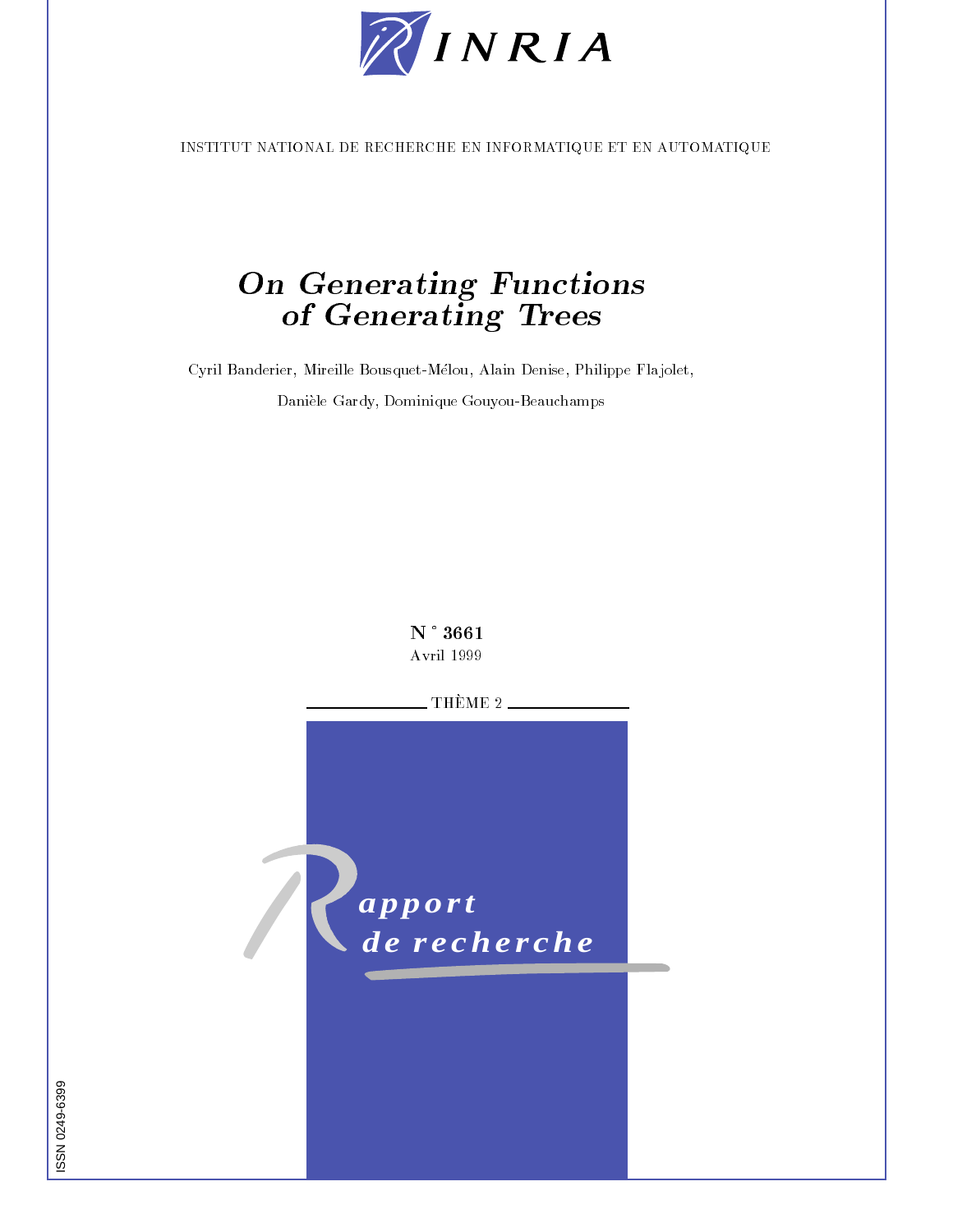

INSTITUT NATIONAL DE RECHERCHE EN INFORMATIQUE ET EN AUTOMATIQUE

# On Generating Functions of Generating Trees

Cyril Banderier, Mireille Bousquet-Melou, Alain Denise, Philippe Flajolet,

Daniele Gardy, Dominique Gouyou-Beauchamps

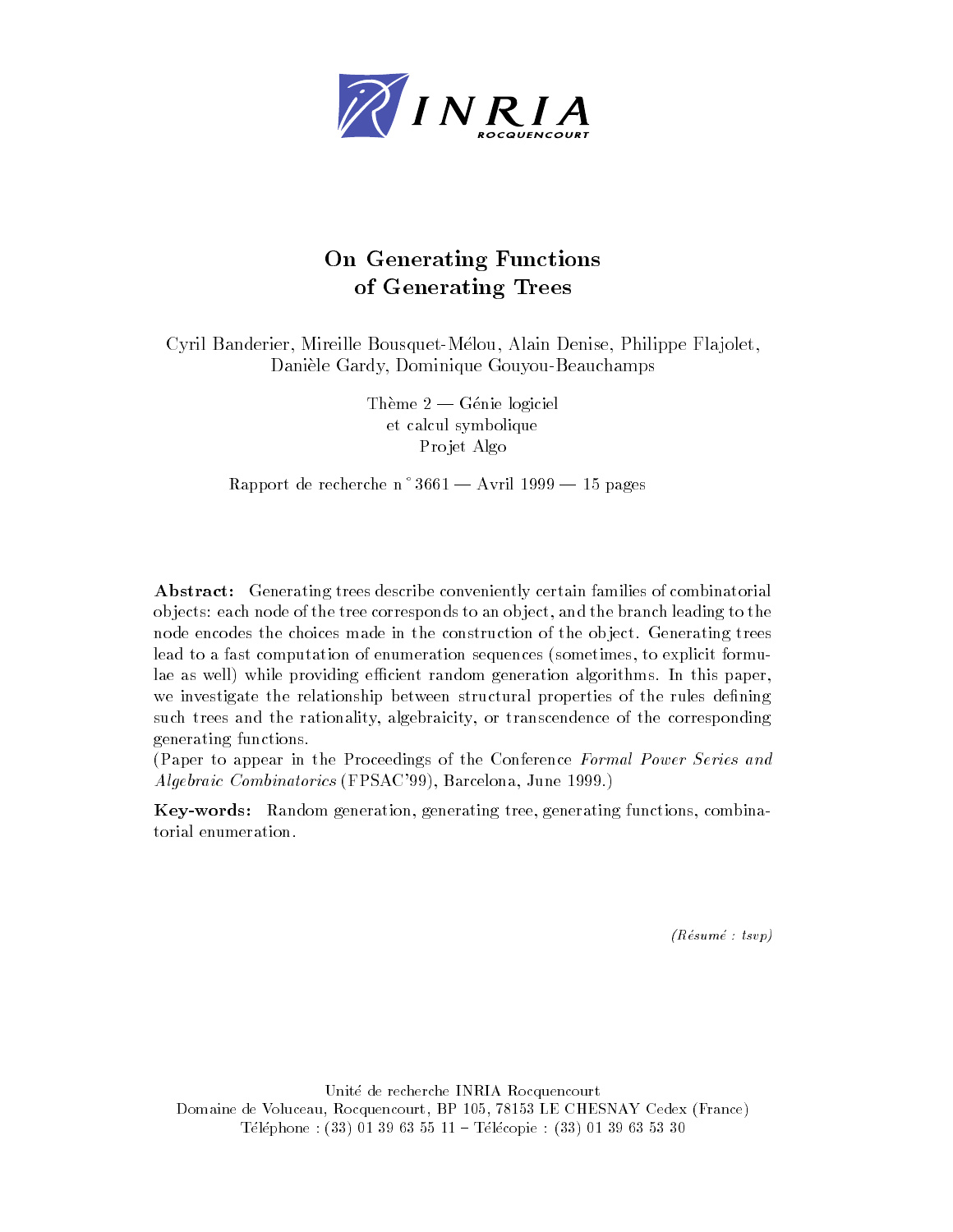

## On Generating Functionsof Generating Trees

Cyril Banderier, Mireille Bousquet-Melou, Alain Denise, Philippe Fla jolet, Daniele Gardy, Dominique Gouyou-Beauchamps

> $Thene 2 — Genie logiciel$ et calcul symbolique Pro jet Algo

Rapport de recherche n° 3661 — Avril 1999 — 15 pages

Abstract: Generating trees describe conveniently certain families of combinatorial ob jects: each node of the tree corresponds to an ob ject, and the branch leading to the node encodes the choices made in the construction of the object. Generating trees lead to a fast computation of enumeration sequences (sometimes, to explicit formulae as well) while providing efficient random generation algorithms. In this paper, we investigate the relationship between structural properties of the rules defining such trees and the rationality, algebraicity, or transcendence of the corresponding generating functions.

(Paper to appear in the Proceedings of the Conference Formal Power Series and Algebraic Combinatorics (FPSAC'99), Barcelona, June 1999.)

Key-words: Random generation, generating tree, generating functions, combinatorial enumeration.

(Resume : tsvp)

Unite de recherche INRIA Rocquencourt Domaine de Voluceau, Rocquencourt, BP 105, 78153 LE CHESNAY Cedex (France) Téléphone : (33) 01 39 63 55 11 - Télécopie : (33) 01 39 63 53 30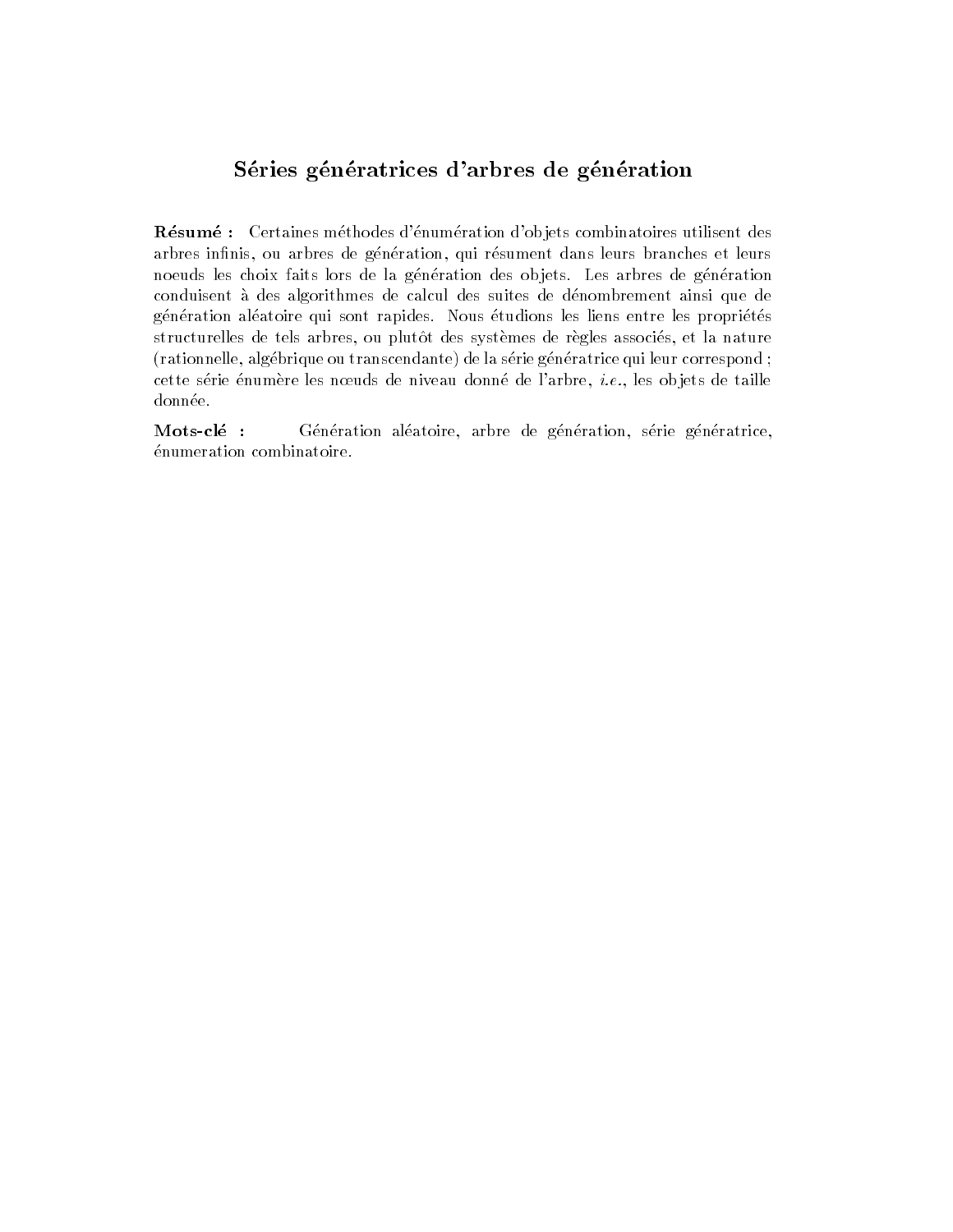### Séries génératrices d'arbres de génération

Résumé : Certaines méthodes d'énumération d'objets combinatoires utilisent des arbres infinis, ou arbres de génération, qui résument dans leurs branches et leurs noeuds les choix faits lors de la génération des objets. Les arbres de génération conduisent a des algorithmes de calcul des suites de denombrement ainsi que de génération aléatoire qui sont rapides. Nous étudions les liens entre les propriétés structurelles de tels arbres, ou plutôt des systèmes de règles associés, et la nature (rationnelle, algebrique ou transcendante) de la serie generatrice qui leur correspond ; cette série énumère les nœuds de niveau donné de l'arbre, *i.e.*, les objets de taille donnée.

Mots-clé : Génération aléatoire, arbre de génération, série génératrice, enumeration combinatoire.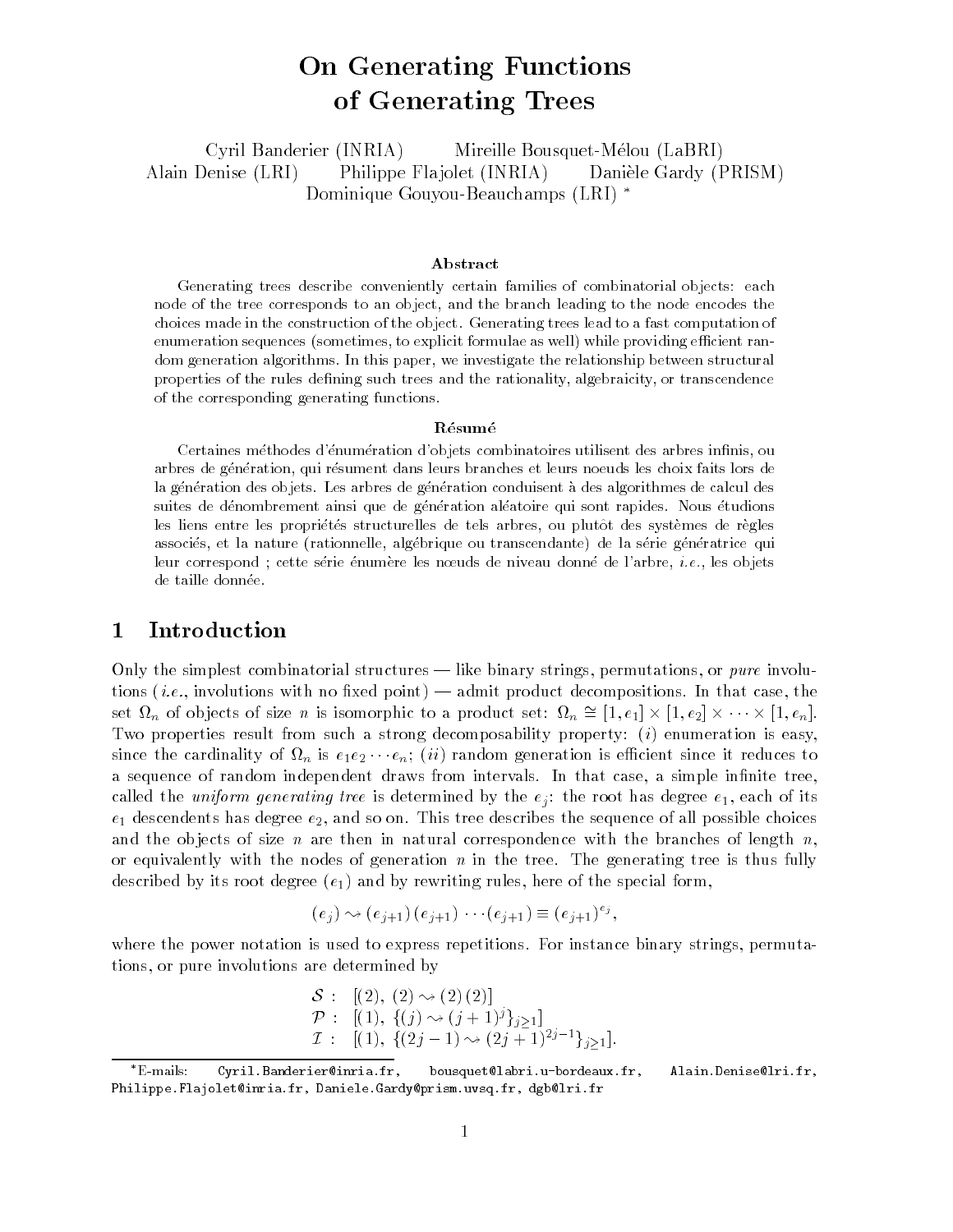## On Generating Functionsof Generating Trees

Cyril Banderier (INRIA) Mireille Bousquet-Melou (LaBRI) Alain Denise (LRI) Philippe Fla jolet (INRIA) Daniele Gardy (PRISM) Dominique Gouyou-Beauchamps (LRI)

### Abstract

Generating trees describe conveniently certain families of combinatorial objects: each node of the tree corresponds to an object, and the branch leading to the node encodes the choices made in the construction of the object. Generating trees lead to a fast computation of enumeration sequences (sometimes, to explicit formulae as well) while providing efficient random generation algorithms. In this paper, we investigate the relationship between structural properties of the rules defining such trees and the rationality, algebraicity, or transcendence of the corresponding generating functions.

### Résumé

Certaines méthodes d'énumération d'objets combinatoires utilisent des arbres infinis, ou arbres de génération, qui résument dans leurs branches et leurs noeuds les choix faits lors de la génération des objets. Les arbres de génération conduisent à des algorithmes de calcul des suites de dénombrement ainsi que de génération aléatoire qui sont rapides. Nous étudions les liens entre les propriétés structurelles de tels arbres, ou plutôt des systèmes de règles associés, et la nature (rationnelle, algébrique ou transcendante) de la série génératrice qui leur correspond; cette série énumère les nœuds de niveau donné de l'arbre, *i.e.*, les objets de taille donnée.

#### 1Introduction

Only the simplest combinatorial structures  $-$  like binary strings, permutations, or *pure* involutions (*i.e.*, involutions with no fixed point) — admit product decompositions. In that case, the set  $\Omega_n$  of objects of size n is isomorphic to a product set:  $\Omega_n \cong [1, e_1] \times [1, e_2] \times \cdots \times [1, e_n]$ . Two properties result from such a strong decomposability property: (i) enumeration is easy, since the cardinality of  $u_n$  is  $e_1e_2\cdots e_n$ , (*u*) random generation is emclent since it reduces to a sequence of random independent draws from intervals. In that case, a simple infinite tree, called the *uniform generating tree* is determined by the  $e_i$ : the root has degree  $e_1$ , each of its  $e_1$  descendents has degree  $e_2$ , and so on. This tree describes the sequence of all possible choices and the objects of size n are then in natural correspondence with the branches of length  $n$ , or equivalently with the nodes of generation  $n$  in the tree. The generating tree is thus fully described by its root degree  $(e_1)$  and by rewriting rules, here of the special form,

$$
(e_j) \rightsquigarrow (e_{j+1}) (e_{j+1}) \cdots (e_{j+1}) \equiv (e_{j+1})^{e_j},
$$

where the power notation is used to express repetitions. For instance binary strings, permutations, or pure involutions are determined by

$$
\begin{array}{ll} \mathcal{S} : & [(2), (2) \rightsquigarrow (2) (2)] \\ \mathcal{P} : & [(1), \{ (j) \rightsquigarrow (j+1)^j \}_{j \geq 1}] \\ \mathcal{I} : & [(1), \{ (2j-1) \rightsquigarrow (2j+1)^{2j-1} \}_{j \geq 1}]. \end{array}
$$

E-mails: Cyril.Banderier@inria.fr, bousquet@labri.u-bordeaux.fr, Alain.Denise@lri.fr, Philippe.Flajolet@inria.fr, Daniele.Gardy@prism.uvsq.fr, dgb@lri.fr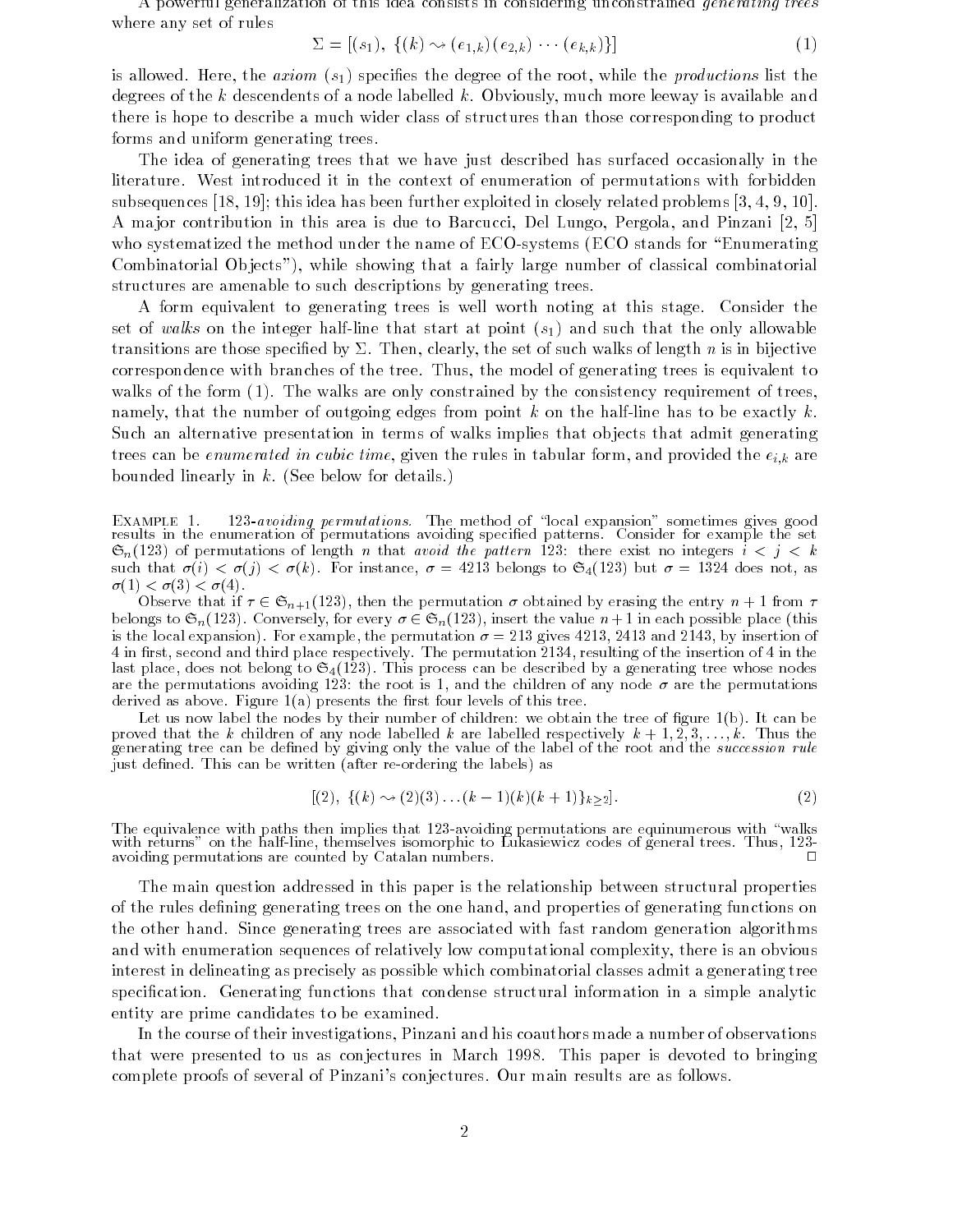A powerful generalization of this idea consists in considering unconstrained *qenerating trees* where any set of rules

$$
\Sigma = [(s_1), \ \{(k) \rightsquigarrow (e_{1,k})(e_{2,k}) \ \cdots \ (e_{k,k})\}] \tag{1}
$$

is allowed. Here, the *axiom*  $(s_1)$  specifies the degree of the root, while the *productions* list the degrees of the k descendents of a node labelled  $k$ . Obviously, much more leeway is available and there is hope to describe a much wider class of structures than those corresponding to product forms and uniform generating trees.

The idea of generating trees that we have just described has surfaced occasionally in the literature. West introduced it in the context of enumeration of permutations with forbidden subsequences [18, 19]; this idea has been further exploited in closely related problems [3, 4, 9, 10]. A ma jor contribution in this area is due to Barcucci, Del Lungo, Pergola, and Pinzani [2, 5] who systematized the method under the name of ECO-systems (ECO stands for "Enumerating") Combinatorial Objects"), while showing that a fairly large number of classical combinatorial structures are amenable to such descriptions by generating trees.

A form equivalent to generating trees is well worth noting at this stage. Consider the set of walks on the integer half-line that start at point  $(s_1)$  and such that the only allowable transitions are those specified by  $\Sigma$ . Then, clearly, the set of such walks of length n is in bijective correspondence with branches of the tree. Thus, the model of generating trees is equivalent to walks of the form (1). The walks are only constrained by the consistency requirement of trees, namely, that the number of outgoing edges from point k on the half-line has to be exactly k. Such an alternative presentation in terms of walks implies that ob jects that admit generating trees can be enumerated in cubic time, given the rules in tabular form, and provided the  $e_{i,k}$  are bounded linearly in k. (See below for details.)

 $E_{\rm 1.11111111111}$  123-avoiding permutations. The method of tocal expansion somethings gives good results in the enumeration of permutations avoiding specied patterns. Consider for example the set  $\mathfrak{S}_n(123)$  of permutations of length n that avoid the pattern 123: there exist no integers  $i < j < k$ such that  $\sigma(i) < \sigma(j) < \sigma(k)$ . For instance,  $\sigma = 4213$  belongs to  $\mathfrak{S}_4(123)$  but  $\sigma = 1324$  does not, as  $\sigma(1) < \sigma(3) < \sigma(4)$ .

Observe that if  $\tau \in \mathfrak{S}_{n+1}(123)$ , then the permutation  $\sigma$  obtained by erasing the entry  $n+1$  from  $\tau$ belongs to  $\mathfrak{S}_n(123)$ . Conversely, for every  $\sigma \in \mathfrak{S}_n(123)$ , insert the value  $n+1$  in each possible place (this is the local expansion). For example, the permutation  $\sigma = 213$  gives 4213, 2413 and 2143, by insertion of 4 in first, second and third place respectively. The permutation 2134, resulting of the insertion of 4 in the last place, does not belong to  $\mathfrak{S}_4(123)$ . This process can be described by a generating tree whose nodes are the permutations avoiding 123: the root is 1, and the children of any node  $\sigma$  are the permutations derived as above. Figure  $1(a)$  presents the first four levels of this tree.

proved that the k children of any node labelled k are labelled respectively  $k+1, 2, 3, \ldots, k$ . Thus the  $\alpha$  and a be denoted by the value of the value of the value of the succession rule of the succession rule of the succession rule of the succession rule of the succession rule of the succession rule of the succession rule just defined. This can be written (after re-ordering the labels) as

$$
[(2), \ \{(k) \rightsquigarrow (2)(3) \dots (k-1)(k)(k+1)\}_{k>2}]. \tag{2}
$$

The equivalence with paths then implies that 123-avoiding permutations are equinons are equinons are equinons are equinons are equinons are equinons are equinons are equinons are equinons are equinons are equinons are equ with returns" on the half-line, themselves isomorphic to Lukasiewicz codes of general trees. Thus, 123 avoiding permutations are counted by Catalan numbers. <sup>2</sup>  $\Box$ 

The main question addressed in this paper is the relationship between structural properties of the rules defining generating trees on the one hand, and properties of generating functions on the other hand. Since generating trees are associated with fast random generation algorithms and with enumeration sequences of relatively low computational complexity, there is an obvious interest in delineating as precisely as possible which combinatorial classes admit a generating tree specification. Generating functions that condense structural information in a simple analytic entity are prime candidates to be examined.

In the course of their investigations, Pinzani and his coauthors made a number of observations that were presented to us as conjectures in March 1998. This paper is devoted to bringing complete proofs of several of Pinzani's conjectures. Our main results are as follows.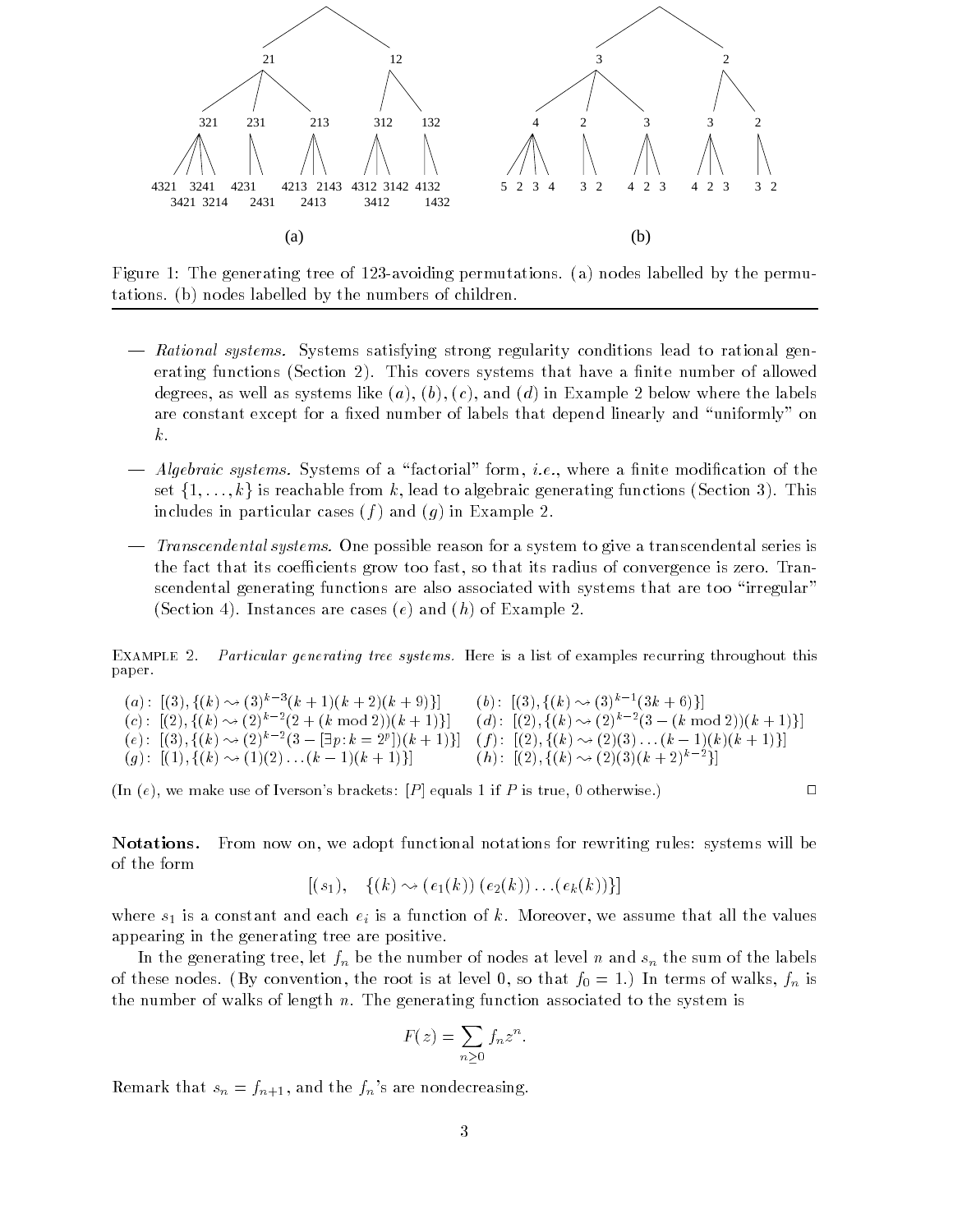

Figure 1: The generating tree of 123-avoiding permutations. (a) nodes labelled by the permutations. (b) nodes labelled by the numbers of children.

- $-$  Rational systems. Systems satisfying strong regularity conditions lead to rational generating functions (Section 2). This covers systems that have a finite number of allowed degrees, as well as systems like  $(a)$ ,  $(b)$ ,  $(c)$ , and  $(d)$  in Example 2 below where the labels are constant except for a fixed number of labels that depend linearly and "uniformly" on k.
- $-$  Algebraic systems. Systems of a "factorial" form, i.e., where a finite modification of the set  $\{1,\ldots,k\}$  is reachable from k, lead to algebraic generating functions (Section 3). This includes in particular cases  $(f)$  and  $(g)$  in Example 2.
- Transcendental systems. One possible reason for a system to give a transcendental series is the fact that its coefficients grow too fast, so that its radius of convergence is zero. Transcendental generating functions are also associated with systems that are too "irregular" (Section 4). Instances are cases  $(e)$  and  $(h)$  of Example 2.

Example 2. Particular generating tree systems. Here is a list of examples recurring throughout this paper.

(a):  $[(3), {(k) \rightarrow (3)^{k-3}(k+1)(k+2)(k+9)}]$  $(k+1)(k+2)(k+9)$ ]  $(b): [(3), {(k) \sim (3)^{k-1}(3k+6)}]$ (c):  $[(2), {(k) \sim (2)^{k-2}(2 + (k \mod 2))(k+1)}]$  $(2 + (k \mod 2))(k + 1)$   $\}$   $(d)$  :  $[(2), {(k) \rightsquigarrow (2)^{k-2}(3 - (k \mod 2))(k+1)}]$  $(e) \colon [(3), \{(k) \rightsquigarrow (2)^{k-2}(3 - \lfloor \exists p : k = 2^p])(k+1)\}] \quad (f) \colon [(2), \{(k) \rightsquigarrow (2)(3) \dots (k-1)(k)(k+1)\}]$  $(g): [(1), {(k) \rightsquigarrow (1)(2)...(k-1)(k+1)}]$   $(h): [(2), {(k) \rightsquigarrow (2)(3)(k+2)^{k-2}}]$ 

(In  $(e)$ , we make use of Iverson's brackets: [P] equals 1 if P is true, 0 otherwise.)

Notations. From now on, we adopt functional notations for rewriting rules: systems will be of the form

$$
[(s_1), \quad \{(k) \rightsquigarrow (e_1(k)) (e_2(k)) \dots (e_k(k))\}]
$$

where  $s_1$  is a constant and each  $e_i$  is a function of k. Moreover, we assume that all the values appearing in the generating tree are positive.

In the generating tree, let  $f_n$  be the number of nodes at level n and  $s_n$  the sum of the labels of these nodes. (By convention, the root is at level 0, so that  $f_0 = 1$ .) In terms of walks,  $f_n$  is the number of walks of length  $n$ . The generating function associated to the system is

$$
F(z) = \sum_{n \ge 0} f_n z^n.
$$

Remark that  $s_n = f_{n+1}$ , and the  $f_n$ 's are nondecreasing.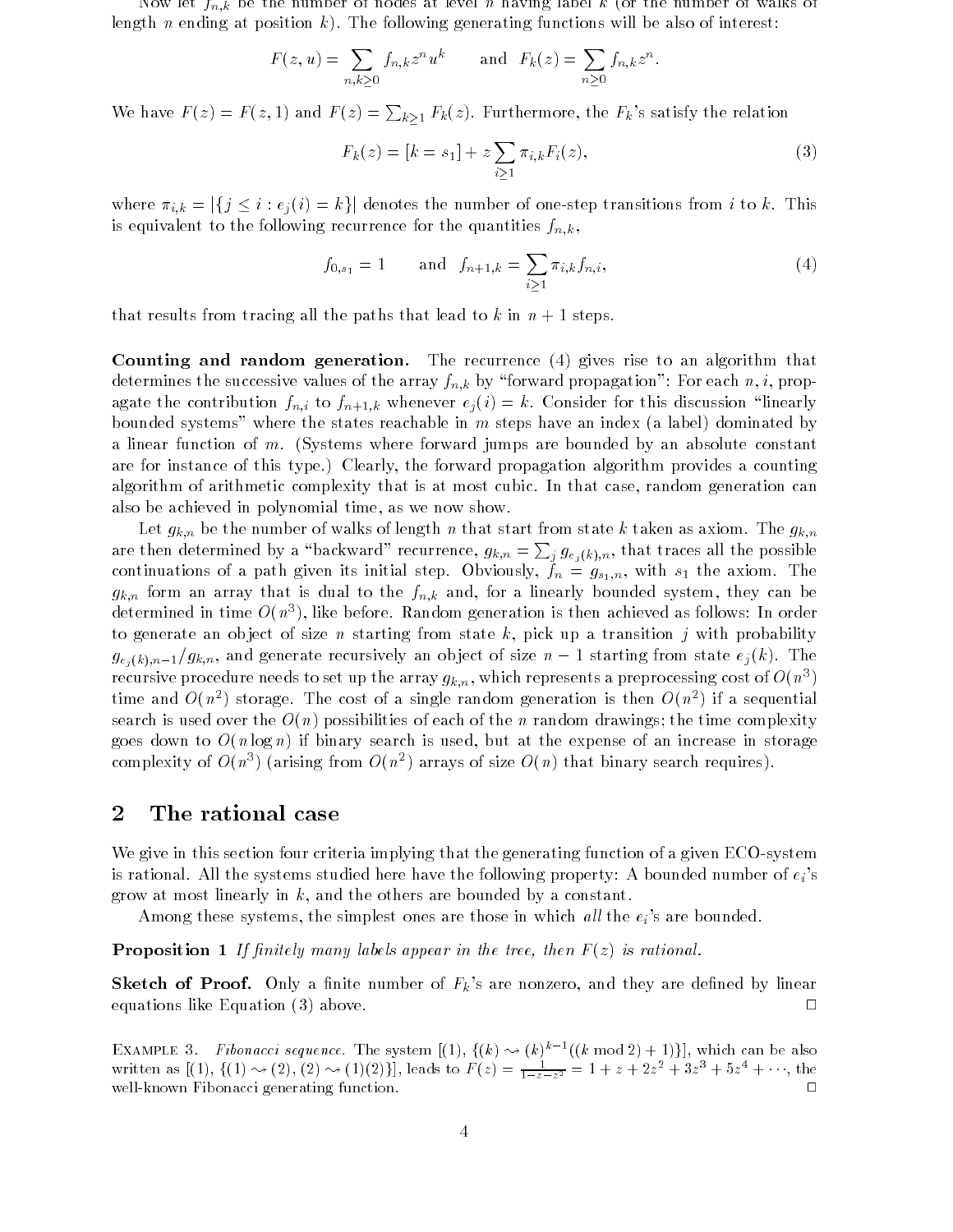Now let  $f_{n,k}$  be the number of nodes at level  $n$  having label  $\kappa$  (or the number of walks of length  $n$  ending at position  $k$ ). The following generating functions will be also of interest:

$$
F(z, u) = \sum_{n,k \ge 0} f_{n,k} z^n u^k \quad \text{and} \quad F_k(z) = \sum_{n \ge 0} f_{n,k} z^n.
$$

We have  $F(z) = F(z,1)$  and  $F(z) = \sum_{k>1} F_k(z)$ . Furthermore, the  $F_k$ 's satisfy the relation

$$
F_k(z) = [k = s_1] + z \sum_{i \ge 1} \pi_{i,k} F_i(z), \tag{3}
$$

where  $\pi_{i,k} = |\{j \leq i : e_j(i) = k\}|$  denotes the number of one-step transitions from i to k. This is equivalent to the following recurrence for the quantities  $f_{n,k}$ ,

$$
f_{0,s_1} = 1 \qquad \text{and} \quad f_{n+1,k} = \sum_{i \ge 1} \pi_{i,k} f_{n,i}, \tag{4}
$$

that results from tracing all the paths that lead to k in  $n + 1$  steps.

Counting and random generation. The recurrence (4) gives rise to an algorithm that determines the successive values of the array  $f_{n,k}$  by "forward propagation": For each  $n, i$ , propagate the contribution  $f_{n,i}$  to  $f_{n+1,k}$  whenever  $e_i(i) = k$ . Consider for this discussion "linearly bounded systems" where the states reachable in  $m$  steps have an index (a label) dominated by a linear function of m. (Systems where forward jumps are bounded by an absolute constant are for instance of this type.) Clearly, the forward propagation algorithm provides a counting algorithm of arithmetic complexity that is at most cubic. In that case, random generation can also be achieved in polynomial time, as we now show.

Let  $g_{k,n}$  be the number of walks of length  $n$  that start from state  $k$  taken as axiom. The  $g_{k,n}$ are then determined by a "backward" recurrence,  $g_{k,n} = \sum_j g_{e_j(k),n},$  that traces all the possible continuations of a path given its initial step. Obviously,  $f_n = g_{s_1,n}$ , with  $s_1$  the axiom. The  $g_{k,n}$  form an array that is dual to the  $f_{n,k}$  and, for a linearly bounded system, they can be determined in time  $O(n_+),$  like before. Random generation is then achieved as follows: In order to generate an object of size n starting from state k, pick up a transition j with probability  $g_{e_i(k),n-1}/g_{k,n}$ , and generate recursively an object of size  $n-1$  starting from state  $e_j(k)$ . The recursive procedure needs to set up the array  $q_{k,n}$ , which represents a preprocessing cost of  $O(n^3)$ time and  $O(n^2)$  storage. The cost of a single random generation is then  $O(n^2)$  if a sequential search is used over the  $O(n)$  possibilities of each of the n random drawings; the time complexity goes down to  $O(n \log n)$  if binary search is used, but at the expense of an increase in storage complexity of  $O(n^2)$  (arising from  $O(n^2)$  arrays of size  $O(n)$  that binary search requires).

#### 2The rational case

We give in this section four criteria implying that the generating function of a given ECO-system is rational. All the systems studied here have the following property: A bounded number of  $e_i$ 's grow at most linearly in  $k$ , and the others are bounded by a constant.

Among these systems, the simplest ones are those in which all the  $e_i$ 's are bounded.

**Proposition 1** If finitely many labels appear in the tree, then  $F(z)$  is rational.

**Sketch of Proof.** Only a finite number of  $F_k$ 's are nonzero, and they are defined by linear equations like Equation  $(3)$  above.  $\Box$ 

EXAMPLE 3. Fibonacci sequence. The system  $[(1), \{(k) \leadsto (k)^{k-1}((k \mod 2) + 1)\}]$ , which can be also written as  $[(1), \{(1) \rightarrow (2), (2) \rightarrow (1)(2)\}]$ , leads to  $F(z) = \frac{1}{1-z-z^2} = 1 + z + 2z^2 + 3z^3 + 5z^4 + \cdots$ , the well-known Fibonacci generating function.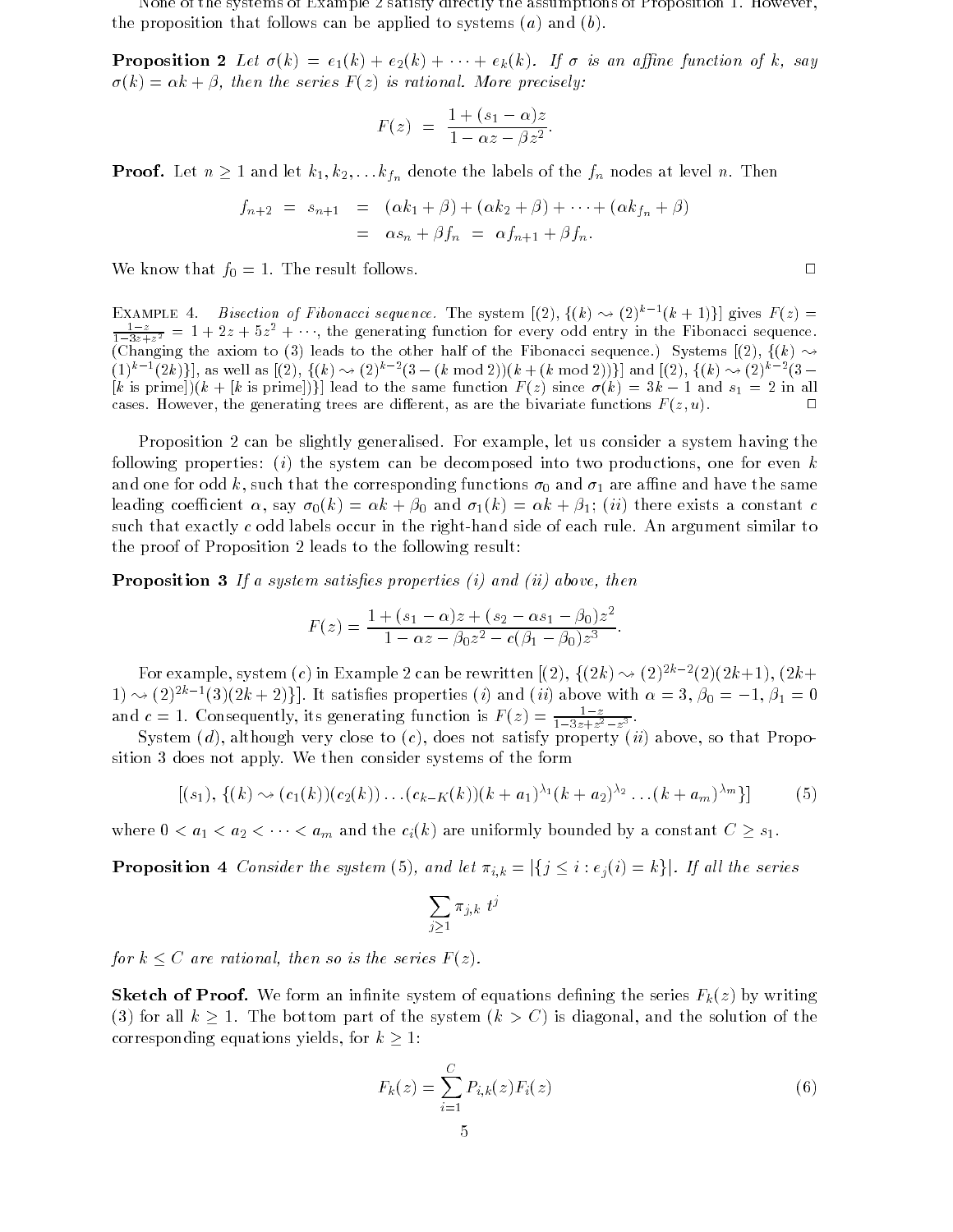None of the systems of Example 2 satisfy directly the assumptions of Proposition 1. However, the proposition that follows can be applied to systems  $(a)$  and  $(b)$ .

**Proposition 2** Let  $\sigma(k) = e_1(k) + e_2(k) + \cdots + e_k(k)$ . If  $\sigma$  is an affine function of k, say  $\sigma(k) = \alpha k + \beta$ , then the series  $F(z)$  is rational. More precisely:

$$
F(z) = \frac{1 + (s_1 - \alpha)z}{1 - \alpha z - \beta z^2}.
$$

**Proof.** Let  $n \geq 1$  and let  $k_1, k_2, \ldots k_{f_n}$  denote the labels of the  $f_n$  nodes at level n. Then

$$
f_{n+2} = s_{n+1} = (\alpha k_1 + \beta) + (\alpha k_2 + \beta) + \dots + (\alpha k_{fn} + \beta)
$$
  
=  $\alpha s_n + \beta f_n = \alpha f_{n+1} + \beta f_n.$ 

We know that  $f_0 = 1$ . The result follows.

EXAMPLE 4. Bisection of Fibonacci sequence. The system  $[(2), \{(k) \leadsto (2)^{k-1}(k+1)\}]$  gives  $F(z) =$  $\frac{1}{1-3z+z^2} = 1+2z+5z^2+\cdots$ , the generating function for every odd entry in the Fibonacci sequence. (Changing the axiom to (3) leads to the other half of the Fibonacci sequence.) Systems [(2), {(k)  $\rightsquigarrow$  $(1)^{k-1}(2k)$ ], as well as  $[(2), \{(k) \sim (2)^{k-2}(3-(k \mod 2))(k+(k \mod 2))\}]$  and  $[(2), \{(k) \sim (2)^{k-2}(3-(k-2))\}]$ [k is prime])(k + [k is prime])] lead to the same function  $F(z)$  since  $\sigma(k)=3k-1$  and  $s_1=2$  in all cases. However, the generating trees are different, as are the bivariate functions  $F(z, u)$ .

Proposition 2 can be slightly generalised. For example, let us consider a system having the following properties: (i) the system can be decomposed into two productions, one for even k and one for odd k, such that the corresponding functions  $\sigma_0$  and  $\sigma_1$  are affine and have the same leading coefficient  $\alpha$ , say  $\sigma_0(k) = \alpha k + \beta_0$  and  $\sigma_1(k) = \alpha k + \beta_1$ ; (*ii*) there exists a constant c such that exactly c odd labels occur in the right-hand side of each rule. An argument similar to the proof of Proposition 2 leads to the following result:

**Proposition 3** If a system satisfies properties  $(i)$  and  $(ii)$  above, then

$$
F(z) = \frac{1 + (s_1 - \alpha)z + (s_2 - \alpha s_1 - \beta_0)z^2}{1 - \alpha z - \beta_0 z^2 - c(\beta_1 - \beta_0)z^3}.
$$

For example, system  $(c)$  in Example 2 can be rewritten  $[(2),$   $\{(2k) \rightsquigarrow (2)^{2k-2}(2)(2k+1),$   $(2k+1)$  $(1) \rightsquigarrow (2)^{2k-1}(3)(2k+2)$ . It satisfies properties (*i*) and (*ii*) above with  $\alpha = 3$ ,  $\beta_0 = -1$ ,  $\beta_1 = 0$ and  $c = 1$ . Consequently, its generating function is  $F(z) = \frac{1}{1-3z+z^2-z^3}$ .

System  $(d)$ , although very close to  $(c)$ , does not satisfy property  $(ii)$  above, so that Proposition 3 does not apply. We then consider systems of the form

$$
[(s_1), \{(k) \rightsquigarrow (c_1(k))(c_2(k)) \dots (c_{k-K}(k))(k+a_1)^{\lambda_1}(k+a_2)^{\lambda_2} \dots (k+a_m)^{\lambda_m}\}] \tag{5}
$$

where  $0 < a_1 < a_2 < \cdots < a_m$  and the  $c_i(k)$  are uniformly bounded by a constant  $C \geq s_1$ .

**Proposition 4** Consider the system (5), and let  $\pi_{i,k} = |\{j \leq i : e_j(i) = k\}|$ . If all the series

$$
\sum_{j\geq 1}\pi_{j,k}\ t^j
$$

for  $k \leq C$  are rational, then so is the series  $F(z)$ .

**Sketch of Proof.** We form an infinite system of equations defining the series  $F_k(z)$  by writing (3) for all  $k \geq 1$ . The bottom part of the system  $(k>C)$  is diagonal, and the solution of the corresponding equations yields, for  $k \geq 1$ :

$$
F_k(z) = \sum_{i=1}^{C} P_{i,k}(z) F_i(z)
$$
\n(6)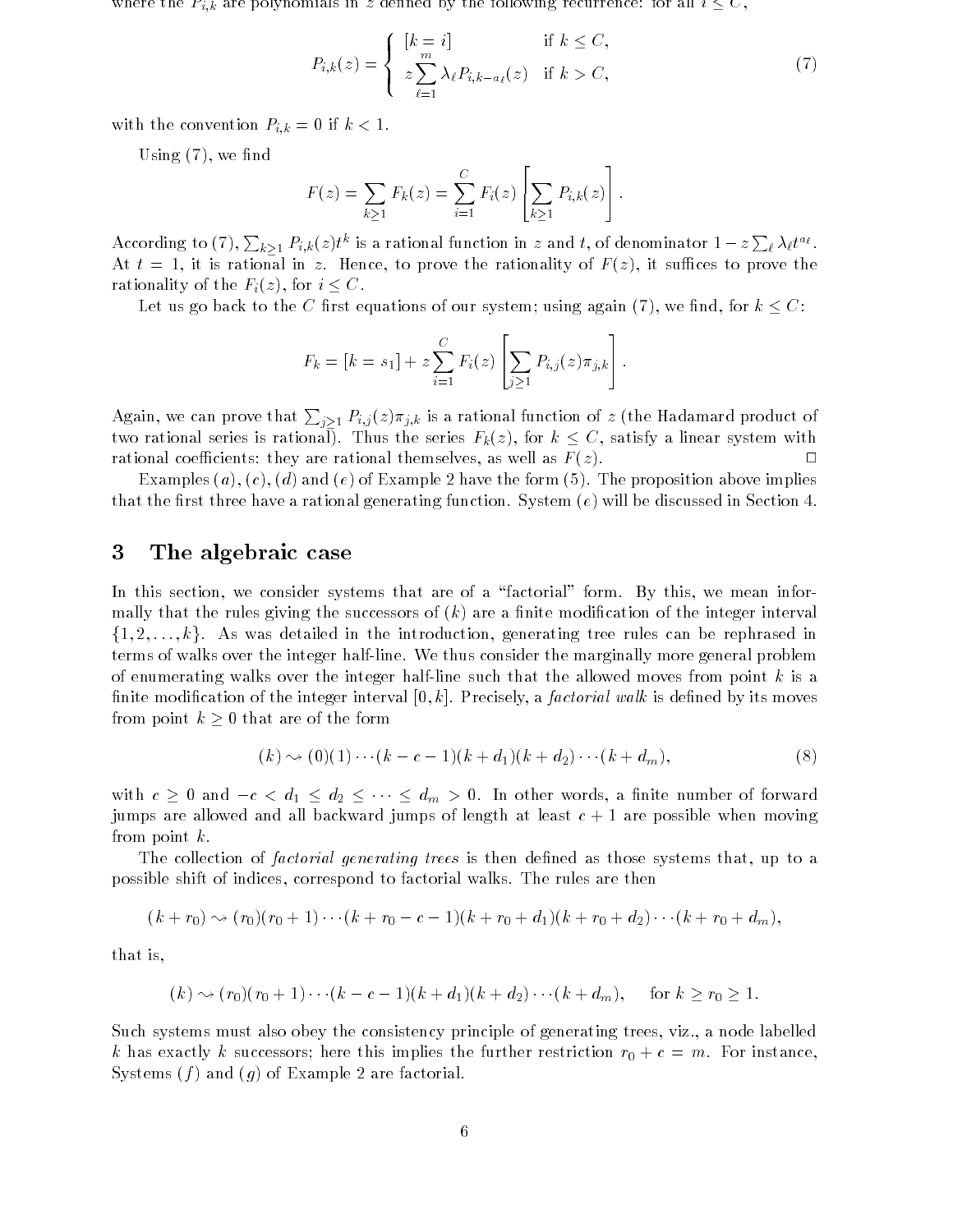where the  $P_{i,k}$  are polynomials in  $z$  defined by the following recurrence: for all  $i \leq C$ ,

$$
P_{i,k}(z) = \begin{cases} [k = i] & \text{if } k \leq C, \\ z \sum_{\ell=1}^{m} \lambda_{\ell} P_{i,k-a_{\ell}}(z) & \text{if } k > C, \end{cases}
$$
(7)

with the convention  $P_{i,k} = 0$  if  $k < 1$ .

Using  $(7)$ , we find

$$
F(z) = \sum_{k \ge 1} F_k(z) = \sum_{i=1}^{C} F_i(z) \left[ \sum_{k \ge 1} P_{i,k}(z) \right].
$$

According to  $(7), \sum_{k\geq 1}P_{i,k}(z)t^k$  is a rational function in  $z$  and  $t,$  of denominator  $1-z\sum_{\ell}\lambda_\ell t^{a_\ell}.$ At  $t = 1$ , it is rational in z. Hence, to prove the rationality of  $F(z)$ , it suffices to prove the rationality of the  $F_i(z)$ , for  $i \leq C$ .

Let us go back to the C first equations of our system; using again (7), we find, for  $k \leq C$ :

$$
F_k = [k = s_1] + z \sum_{i=1}^{C} F_i(z) \left[ \sum_{j \ge 1} P_{i,j}(z) \pi_{j,k} \right].
$$

Again, we can prove that  $\sum_{j>1} P_{i,j}(z)\pi_{j,k}$  is a rational function of  $z$  (the Hadamard product of two rational series is rational). Thus the series  $F_k(z)$ , for  $k \leq C$ , satisfy a linear system with rational coefficients: they are rational themselves, as well as  $F(z)$ .  $\Box$ 

Examples  $(a)$ ,  $(c)$ ,  $(d)$  and  $(e)$  of Example 2 have the form (5). The proposition above implies that the first three have a rational generating function. System  $(e)$  will be discussed in Section 4.

#### 3The algebraic case

In this section, we consider systems that are of a "factorial" form. By this, we mean informally that the rules giving the successors of  $(k)$  are a finite modification of the integer interval  $\{1, 2, \ldots, k\}$ . As was detailed in the introduction, generating tree rules can be rephrased in terms of walks over the integer half-line. We thus consider the marginally more general problem of enumerating walks over the integer half-line such that the allowed moves from point  $k$  is a finite modification of the integer interval  $[0, k]$ . Precisely, a *factorial walk* is defined by its moves from point  $k \geq 0$  that are of the form

$$
(k) \sim (0)(1)\cdots (k-c-1)(k+d_1)(k+d_2)\cdots (k+d_m), \tag{8}
$$

with  $c \geq 0$  and  $-c < d_1 \leq d_2 \leq \cdots \leq d_m > 0$ . In other words, a finite number of forward jumps are allowed and all backward jumps of length at least  $c + 1$  are possible when moving from point  $k$ .

The collection of *factorial generating trees* is then defined as those systems that, up to a possible shift of indices, correspond to factorial walks. The rules are then

 $(k + r_0) \rightsquigarrow (r_0)(r_0 + 1) \cdots (k + r_0 - c - 1)(k + r_0 + d_1)(k + r_0 + d_2) \cdots (k + r_0 + d_m),$ 

that is,

$$
(k) \rightsquigarrow (r_0)(r_0+1)\cdots (k-c-1)(k+d_1)(k+d_2)\cdots (k+d_m), \quad \text{for } k \ge r_0 \ge 1.
$$

Such systems must also obey the consistency principle of generating trees, viz., a node labelled k has exactly k successors; here this implies the further restriction  $r_0 + c = m$ . For instance, Systems  $(f)$  and  $(g)$  of Example 2 are factorial.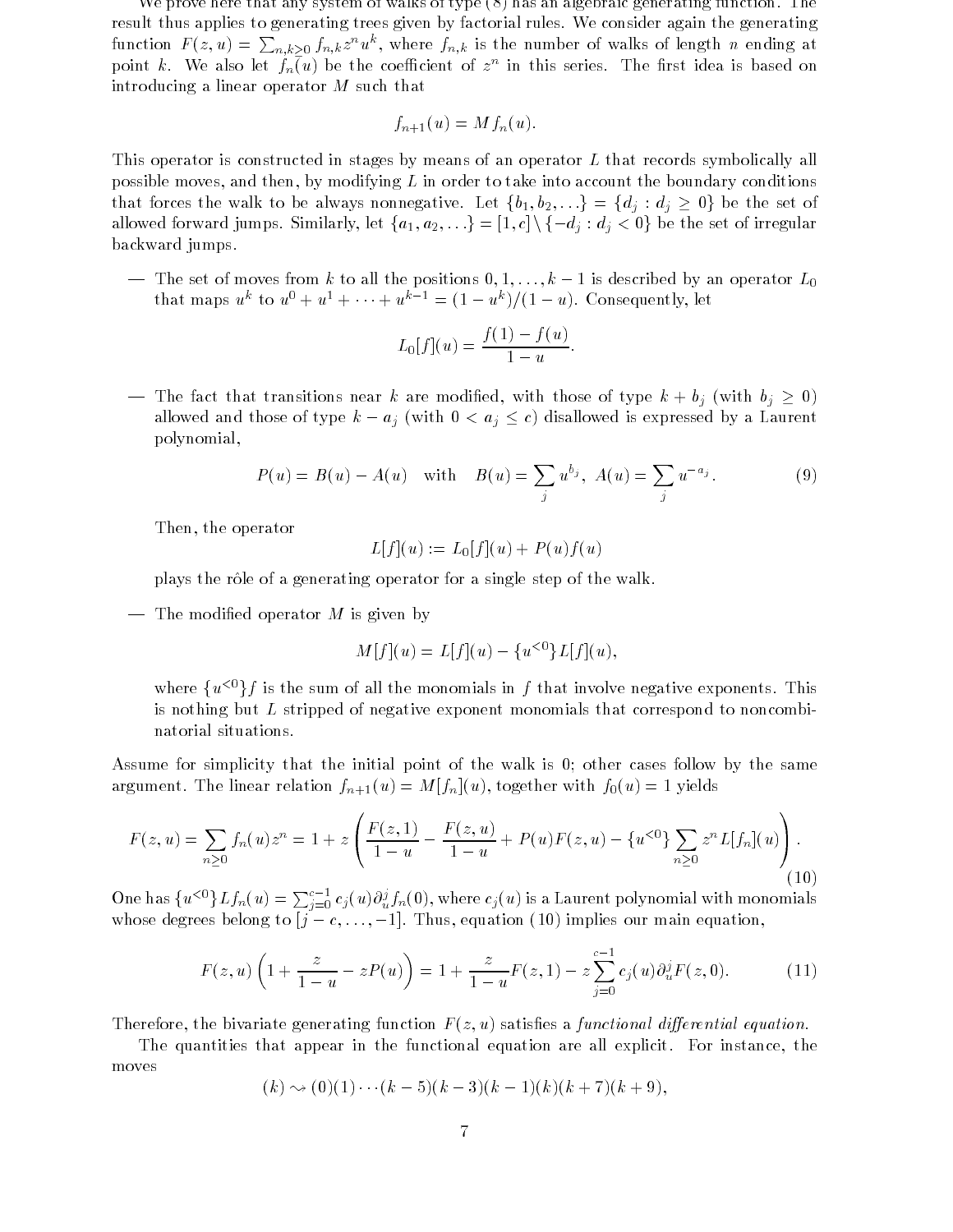We prove here that any system of walks of type (8) has an algebraic generating function. The result thus applies to generating trees given by factorial rules. We consider again the generating function  $F(z, u) = \sum_{n,k>0} f_{n,k} z^n u^k$ , where  $f_{n,k}$  is the number of walks of length n ending at point  $\kappa$ . We also let  $f_n(u)$  be the coefficient of  $z^+$  in this series. The first idea is based on introducing a linear operator M such that

$$
f_{n+1}(u) = M f_n(u).
$$

This operator is constructed in stages by means of an operator L that records symbolically all possible moves, and then, by modifying  $L$  in order to take into account the boundary conditions that forces the walk to be always nonnegative. Let  $\{b_1, b_2,...\} = \{d_j : d_j \geq 0\}$  be the set of allowed forward jumps. Similarly, let  $\{a_1, a_2,...\} = [1, c] \setminus \{-d_i : d_i < 0\}$  be the set of irregular backward jumps.

— The set of moves from k to all the positions  $0, 1, \ldots, k-1$  is described by an operator  $L_0$ that maps  $u^+$  to  $u^+ + u^- + \cdots + u^{n-1} = (1 - u^+)/(1 - u)$ . Consequently, let

$$
L_0[f](u) = \frac{f(1) - f(u)}{1 - u}.
$$

— The fact that transitions near k are modified, with those of type  $k + b_j$  (with  $b_j \ge 0$ ) allowed and those of type  $k - a_j$  (with  $0 < a_j \leq c$ ) disallowed is expressed by a Laurent polynomial,

$$
P(u) = B(u) - A(u) \quad \text{with} \quad B(u) = \sum_{j} u^{b_j}, \ A(u) = \sum_{j} u^{-a_j}.
$$
 (9)

Then, the operator

$$
L[f](u) := L_0[f](u) + P(u)f(u)
$$

plays the r^ole of a generating operator for a single step of the walk.

— The modified operator  $M$  is given by

$$
M[f](u) = L[f](u) - \{u^{<0}\}L[f](u),
$$

where  $\{u^{<0}\}$  is the sum of all the monomials in f that involve negative exponents. This is nothing but L stripped of negative exponent monomials that correspond to noncombinatorial situations.

Assume for simplicity that the initial point of the walk is 0; other cases follow by the same argument. The linear relation  $f_{n+1}(u) = M[f_n](u)$ , together with  $f_0(u) = 1$  yields

$$
F(z, u) = \sum_{n \ge 0} f_n(u) z^n = 1 + z \left( \frac{F(z, 1)}{1 - u} - \frac{F(z, u)}{1 - u} + P(u) F(z, u) - \{u^{<0}\} \sum_{n \ge 0} z^n L[f_n](u) \right).
$$
\n(10)

One has  $\{u^{<0}\}\mathcal{L}f_n(u) = \sum_{j=0}^{c-1} c_j(u)\partial_u^j f_n(0)$ , where  $c_j(u)$  is a Laurent polynomial with monomials whose degrees belong to  $j = 0, \ldots, -1$ . Thus, equation (10) implies our main equation,

$$
F(z, u) \left( 1 + \frac{z}{1 - u} - zP(u) \right) = 1 + \frac{z}{1 - u} F(z, 1) - z \sum_{j=0}^{c-1} c_j(u) \partial_u^j F(z, 0). \tag{11}
$$

Therefore, the bivariate generating function  $F(z, u)$  satisfies a functional differential equation.

The quantities that appear in the functional equation are all explicit. For instance, the moves

$$
(k) \sim (0)(1)\cdots (k-5)(k-3)(k-1)(k)(k+7)(k+9),
$$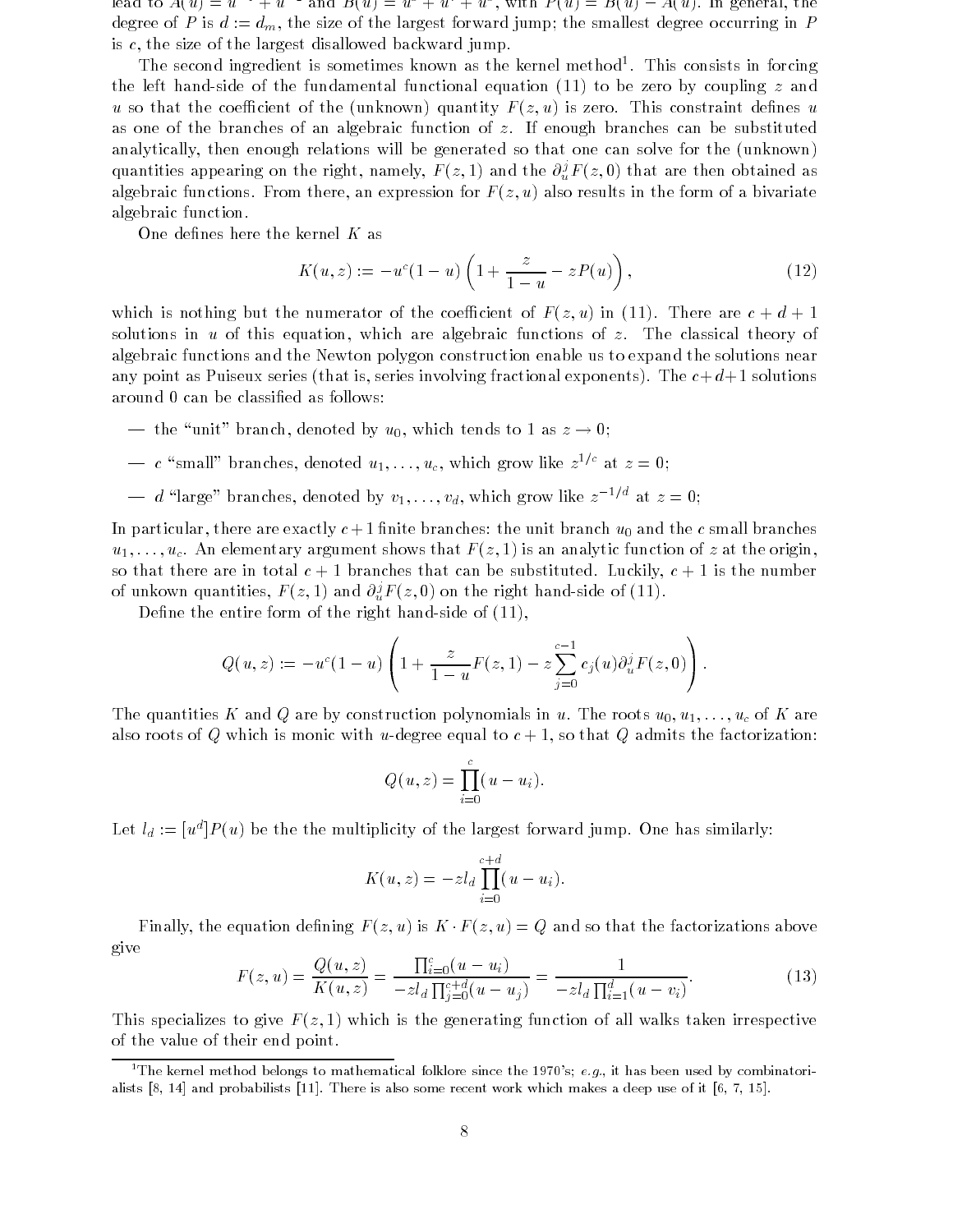lead to  $A(u) = u_1 + u_2$  and  $D(u) = u_1 + u_2 + u_3$ , with  $P(u) = D(u_1) - A(u_1)$ . In general, the degree of P is  $d := d_m$ , the size of the largest forward jump; the smallest degree occurring in P is c, the size of the largest disallowed backward jump.

The second ingredient is sometimes known as the kernel method1 . This consists in forcing the left hand-side of the fundamental functional equation (11) to be zero by coupling z and u so that the coefficient of the (unknown) quantity  $F(z, u)$  is zero. This constraint defines u as one of the branches of an algebraic function of z. If enough branches can be substituted analytically, then enough relations will be generated so that one can solve for the (unknown) quantities appearing on the right, namely,  $F(z, 1)$  and the  $\partial_x^j F(z, 0)$  that are then obtained as algebraic functions. From there, an expression for  $F(z, u)$  also results in the form of a bivariate algebraic function.

One defines here the kernel  $K$  as

$$
K(u, z) := -u^{c}(1-u)\left(1 + \frac{z}{1-u} - zP(u)\right),
$$
\n(12)

which is nothing but the numerator of the coefficient of  $F(z, u)$  in (11). There are  $c + d + 1$ solutions in  $u$  of this equation, which are algebraic functions of  $z$ . The classical theory of algebraic functions and the Newton polygon construction enable us to expand the solutions near any point as Puiseux series (that is, series involving fractional exponents). The  $c+d+1$  solutions around 0 can be classied as follows:

- the "unit" branch, denoted by  $u_0$ , which tends to 1 as  $z \to 0$ ;
- $\sim c$  small pranches, denoted  $u_1, \ldots, u_c$ , which grow like  $z^{\gamma}$  at  $z = 0$ ;
- $d$  "large" branches, denoted by  $v_1, \ldots, v_d$ , which grow like  $z^{-1/d}$  at  $z = 0$ ;

In particular, there are exactly  $c+1$  finite branches: the unit branch  $u_0$  and the c small branches  $u_1, \ldots, u_c$ . An elementary argument shows that  $F(z, 1)$  is an analytic function of z at the origin, so that there are in total  $c + 1$  branches that can be substituted. Luckily,  $c + 1$  is the number of unkown quantities,  $F(z, 1)$  and  $\partial_y^j F(z, 0)$  on the right hand-side of (11).

Define the entire form of the right hand-side of  $(11),$ 

$$
Q(u, z) := -u^{c}(1-u)\left(1+\frac{z}{1-u}F(z, 1) - z\sum_{j=0}^{c-1}c_{j}(u)\partial_{u}^{j}F(z, 0)\right).
$$

The quantities K and Q are by construction polynomials in u. The roots  $u_0, u_1, \ldots, u_c$  of K are also roots of Q which is monic with u-degree equal to  $c + 1$ , so that Q admits the factorization:

$$
Q(u,z) = \prod_{i=0}^{c} (u - u_i).
$$

Let  $\iota_d := |u^*| \leq |u|$  be the the multiplicity of the largest forward jump. One has similarly:

$$
K(u,z) = -z l_d \prod_{i=0}^{c+d} (u - u_i).
$$

Finally, the equation defining  $F(z, u)$  is  $K \cdot F(z, u) = Q$  and so that the factorizations above give

$$
F(z, u) = \frac{Q(u, z)}{K(u, z)} = \frac{\prod_{i=0}^{c} (u - u_i)}{-z l_d \prod_{j=0}^{c+d} (u - u_j)} = \frac{1}{-z l_d \prod_{i=1}^{d} (u - v_i)}.
$$
(13)

This specializes to give  $F(z, 1)$  which is the generating function of all walks taken irrespective of the value of their end point.

<sup>&</sup>lt;sup>1</sup>The kernel method belongs to mathematical folklore since the 1970's; e.g., it has been used by combinatorialists [8, 14] and probabilists [11]. There is also some recent work which makes a deep use of it [6, 7, 15].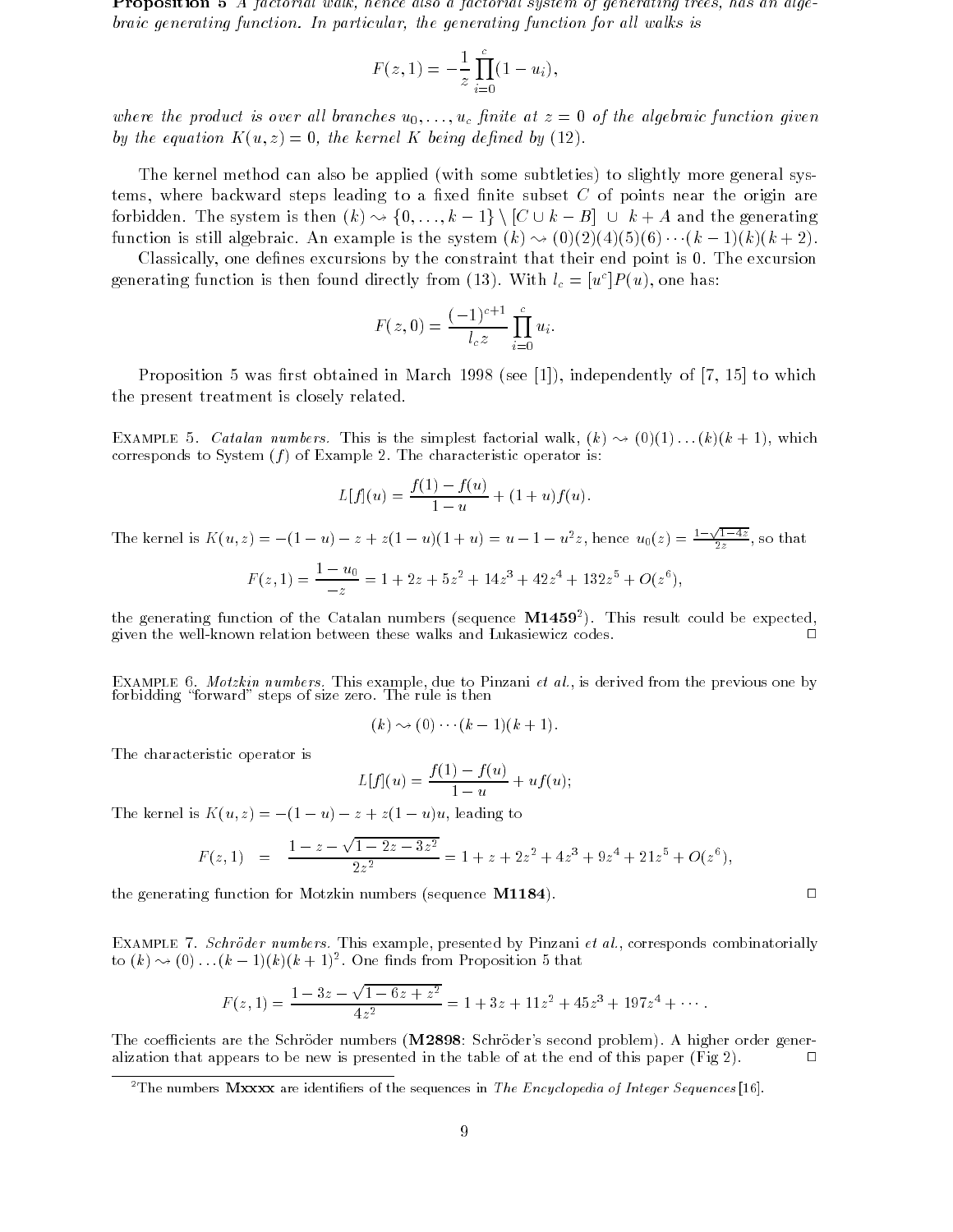Proposition 5 A factorial walk, hence also a factorial system of generating trees, has an algebraic generating function. In particular, the generating function for all walks is

$$
F(z, 1) = -\frac{1}{z} \prod_{i=0}^{c} (1 - u_i),
$$

where the product is over all branches  $u_0, \ldots, u_c$  finite at  $z = 0$  of the algebraic function given by the equation  $K(u, z) = 0$ , the kernel K being defined by (12).

The kernel method can also be applied (with some subtleties) to slightly more general systems, where backward steps leading to a fixed finite subset  $C$  of points near the origin are forbidden. The system is then  $(k) \rightarrow \{0, \ldots, k-1\} \setminus [C \cup k - B] \cup k + A$  and the generating function is still algebraic. An example is the system  $(k) \sim (0)(2)(4)(5)(6) \cdots (k-1)(k)(k+2)$ .

Classically, one defines excursions by the constraint that their end point is 0. The excursion generating function is then found directly from (13). With  $\iota_c = |u^\perp| \mathcal{F}(u) ,$  one has:

$$
F(z,0) = \frac{(-1)^{c+1}}{l_c z} \prod_{i=0}^{c} u_i.
$$

Proposition 5 was first obtained in March 1998 (see [1]), independently of  $[7, 15]$  to which the present treatment is closely related.

EXAMPLE 5. Catalan numbers. This is the simplest factorial walk,  $(k) \rightarrow (0)(1) \dots (k)(k+1)$ , which corresponds to System  $(f)$  of Example 2. The characteristic operator is:

$$
L[f](u) = \frac{f(1) - f(u)}{1 - u} + (1 + u)f(u).
$$

The kernel is  $K(u, z) = -(1 - u) - z + z(1 - u)(1 + u) = u - 1 - u^2z$ , hence  $u_0(z) = \frac{1 - \sqrt{1 - 4z}}{2z}$ , so that

$$
F(z, 1) = \frac{1 - u_0}{-z} = 1 + 2z + 5z^2 + 14z^3 + 42z^4 + 132z^5 + O(z^6),
$$

the generating function of the Catalan numbers (sequence M14592 ). This result could be expected, given the well-known relation between these walks and Lukasiewicz codes. <sup>2</sup>

Example 6. Motzkin numbers. This example, due to Pinzani et al., is derived from the previous one by forbidding \forward" steps of size zero. The rule is then

$$
(k) \rightsquigarrow (0) \cdots (k-1)(k+1).
$$

The characteristic operator is

$$
L[f](u) = \frac{f(1) - f(u)}{1 - u} + uf(u);
$$

The kernel is  $K(u, z) = -(1 - u) - z + z(1 - u)u$ , leading to

$$
F(z,1) = \frac{1-z-\sqrt{1-2z-3z^2}}{2z^2} = 1 + z + 2z^2 + 4z^3 + 9z^4 + 21z^5 + O(z^6),
$$

the generating function for Motzkin numbers (sequence  $M1184$ ).

EXAMPLE 7. Schröder numbers. This example, presented by Pinzani et al., corresponds combinatorially to  $(k) \leadsto (0)$ .  $(k-1)(k)(k+1)$ . One times from Proposition 5 that

$$
F(z, 1) = \frac{1 - 3z - \sqrt{1 - 6z + z^2}}{4z^2} = 1 + 3z + 11z^2 + 45z^3 + 197z^4 + \cdots
$$

The coefficients are the Schröder numbers (M2898: Schröder's second problem). A higher order generalization that appears to be new is presented in the table of at the end of this paper (Fig  $2$ ).  $\Box$ 

 $\Box$ 

<sup>&</sup>lt;sup>2</sup>The numbers Mxxxx are identifiers of the sequences in The Encyclopedia of Integer Sequences [16].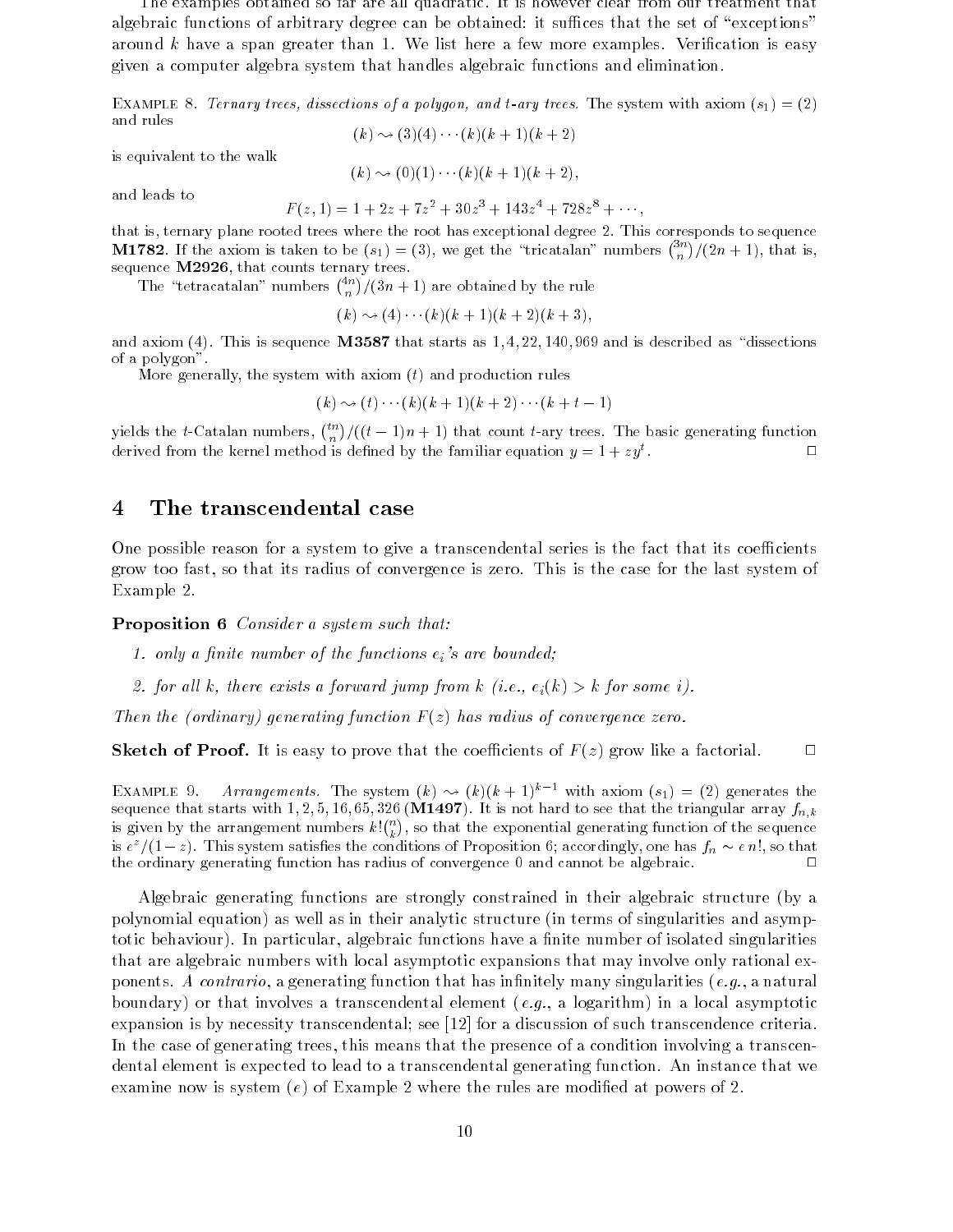t ne examples obtained so far are all quadratic. It is nowever clear from our treatment that algebraic functions of arbitrary degree can be obtained: it suffices that the set of "exceptions" around  $k$  have a span greater than 1. We list here a few more examples. Verification is easy given a computer algebra system that handles algebraic functions and elimination.

EXAMPLE 8. Ternary trees, dissections of a polygon, and t-ary trees. The system with axiom  $(s_1) = (2)$ and rules

$$
(k) \rightsquigarrow (3)(4) \cdots (k)(k+1)(k+2)
$$

is equivalent to the walk

$$
(k) \rightsquigarrow (0)(1) \cdots (k)(k+1)(k+2),
$$

and leads to

 $F(z, 1) = 1 + 2z + 7z + 30z + 143z + 728z + \cdots$ 

that is, ternary plane rooted trees where the root has exceptional degree 2. This corresponds to sequence **M1782**. If the axiom is taken to be  $(s_1) = (3)$ , we get the "tricatalan" numbers  $\binom{3n}{2}(2n + 1)$ , that is, sequence M2926, that counts ternary trees.

The "tetracatalan" numbers  $\binom{4n}{1}$ /(3n + 1) are obtained by the rule

$$
(k) \rightsquigarrow (4) \cdots (k)(k+1)(k+2)(k+3),
$$

and axiom (4). This is sequence  $M3587$  that starts as  $1, 4, 22, 140, 969$  and is described as "dissections" of a polygon".

More generally, the system with axiom  $(t)$  and production rules

$$
(k) \rightsquigarrow (t) \cdots (k)(k+1)(k+2) \cdots (k+t-1)
$$

yields the t-Catalan numbers,  $\binom{tn}{n}/((t-1)n+1)$  that count t-ary trees. The basic generating function derived from the kernel method is defined by the familiar equation  $y = 1 + zy^t$ .  $\Box$ . 2002 - 2003 - 2004 - 2005 - 2006 - 2007 - 2008 - 2009 - 2009 - 2009 - 2009 - 2009 - 2009 - 2009 - 2009 - 200

#### 4The transcendental case

One possible reason for a system to give a transcendental series is the fact that its coefficients grow too fast, so that its radius of convergence is zero. This is the case for the last system of Example 2.

Proposition 6 Consider a system such that:

1. only a finite number of the functions  $e_i$ 's are bounded;

2. for all k, there exists a forward jump from k (i.e.,  $e_i(k) > k$  for some i).

Then the (ordinary) generating function  $F(z)$  has radius of convergence zero.

**Sketch of Proof.** It is easy to prove that the coefficients of  $F(z)$  grow like a factorial.  $\Box$ 

EXAMPLE 9. Arrangements. The system  $(k) \rightarrow (k)(k+1)^{k-1}$  with axiom  $(s_1) = (2)$  generates the sequence that starts with 1, 2, 5, 16, 65, 326 (M1497). It is not hard to see that the triangular array  $f_{n,k}$ is given by the arrangement numbers  $k!{n \choose k}$ , so that the exponential generating function of the sequence is  $e^*/(1-z)$ . This system satisfies the conditions of Proposition 6; accordingly, one has  $f_n \thicksim e \; n$  , so that the ordinary generating function has radius of convergence 0 and cannot be algebraic. <sup>2</sup>

Algebraic generating functions are strongly constrained in their algebraic structure (by a polynomial equation) as well as in their analytic structure (in terms of singularities and asymptotic behaviour). In particular, algebraic functions have a finite number of isolated singularities that are algebraic numbers with local asymptotic expansions that may involve only rational exponents. A contrario, a generating function that has infinitely many singularities (e.g., a natural boundary) or that involves a transcendental element (e.g., a logarithm) in a local asymptotic expansion is by necessity transcendental; see [12] for a discussion of such transcendence criteria. In the case of generating trees, this means that the presence of a condition involving a transcendental element is expected to lead to a transcendental generating function. An instance that we examine now is system  $(e)$  of Example 2 where the rules are modified at powers of 2.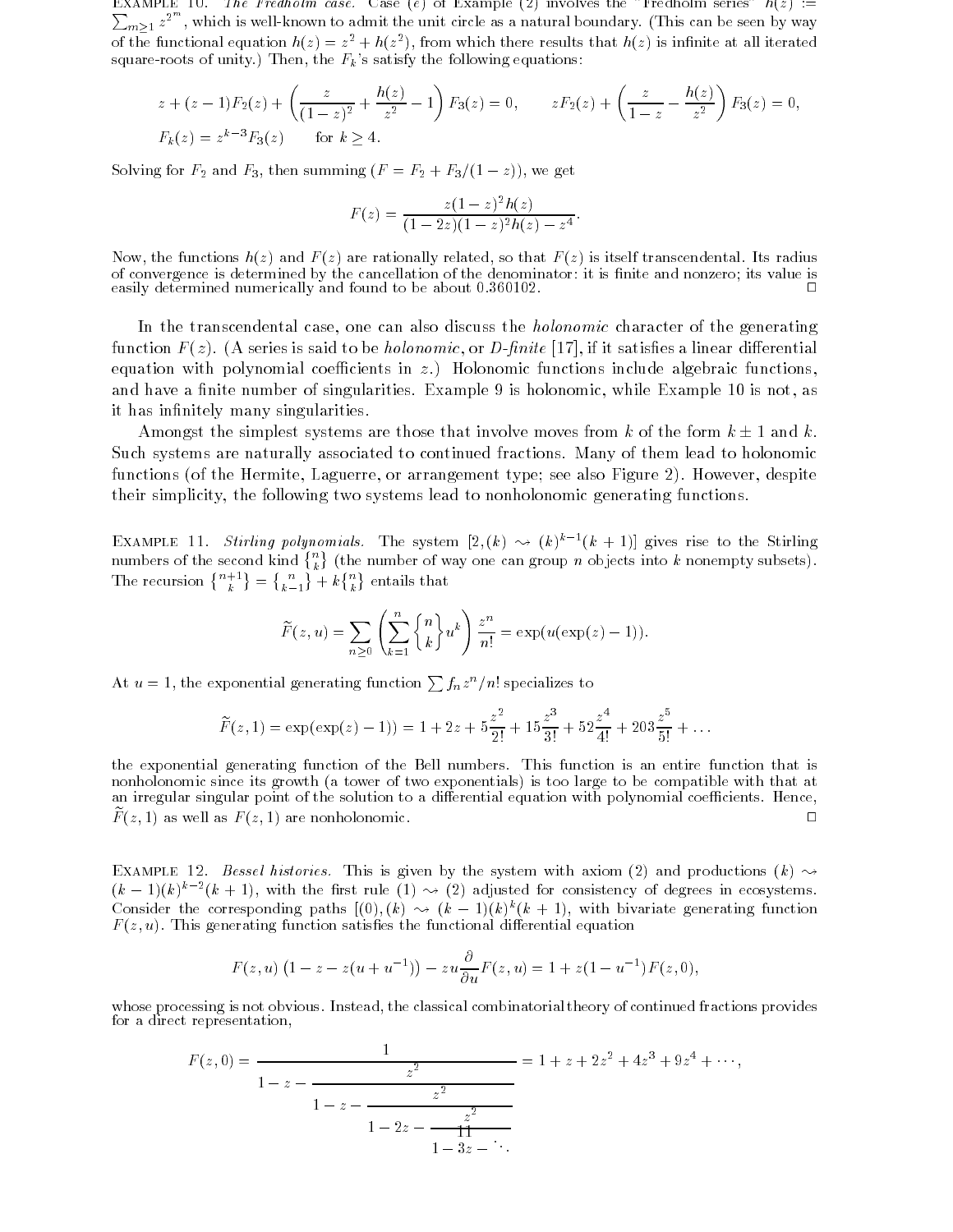$P_{\text{max}} = \frac{m}{m}$  $_{m>1}$   $z^{2^m}$ , which is well-known to admit the unit circle as a natural boundary. (This can be seen by way of the functional equation  $n(z) = z^* + n(z^*)$ , from which there results that  $n(z)$  is infinite at all iterated  $\equiv$ square-roots of unity.) Then, the  $F_k$ 's satisfy the following equations:

$$
z + (z - 1)F_2(z) + \left(\frac{z}{(1 - z)^2} + \frac{h(z)}{z^2} - 1\right)F_3(z) = 0, \qquad zF_2(z) + \left(\frac{z}{1 - z} - \frac{h(z)}{z^2}\right)F_3(z) = 0,
$$
  

$$
F_k(z) = z^{k-3}F_3(z) \qquad \text{for } k \ge 4.
$$

Solving for  $F_2$  and  $F_3$ , then summing  $(F = F_2 + F_3/(1 - z))$ , we get

$$
F(z) = \frac{z(1-z)^2h(z)}{(1-2z)(1-z)^2h(z)-z^4}.
$$

Now, the functions  $h(z)$  and  $F(z)$  are rationally related, so that  $F(z)$  is itself transcendental. Its radius of convergence is determined by the cancellation of the denominator: it is finite and nonzero; its value is easily determined numerically and found to be about 0.360102.

In the transcendental case, one can also discuss the *holonomic* character of the generating function  $F(z)$ . (A series is said to be *holonomic*, or *D-finite* [17], if it satisfies a linear differential equation with polynomial coefficients in  $z$ .) Holonomic functions include algebraic functions. and have a finite number of singularities. Example 9 is holonomic, while Example 10 is not, as it has infinitely many singularities.

Amongst the simplest systems are those that involve moves from k of the form  $k \pm 1$  and k. Such systems are naturally associated to continued fractions. Many of them lead to holonomic functions (of the Hermite, Laguerre, or arrangement type; see also Figure 2). However, despite their simplicity, the following two systems lead to nonholonomic generating functions.

EXAMPLE 11. Stirting polynomials. The system  $|2, (k) \leadsto (k)^{-1}(k+1)|$  gives rise to the Stirling numbers of the second kind  ${n \brace k}$  (the number of way one can group n objects into k nonempty subsets). The recursion  $\{n+1\atop k\} = \{n\atop k-1\} + k\{n\atop k\}$  entails that

$$
\widetilde{F}(z,u) = \sum_{n\geq 0} \left(\sum_{k=1}^n \begin{Bmatrix} n \\ k \end{Bmatrix} u^k\right) \frac{z^n}{n!} = \exp(u(\exp(z) - 1)).
$$

At  $u = 1$ , the exponential generating function  $\sum f_n z^n/n!$  specializes to

$$
\widetilde{F}(z, 1) = \exp(\exp(z) - 1) = 1 + 2z + 5\frac{z^2}{2!} + 15\frac{z^3}{3!} + 52\frac{z^4}{4!} + 203\frac{z^5}{5!} + \dots
$$

the exponential generating function of the Bell numbers. This function is an entire function that is nonholonomic since its growth (a tower of two exponentials) is too large to be compatible with that at an irregular singular point of the solution to a differential equation with polynomial coefficients. Hence,  $F(z, 1)$  as well as  $F(z, 1)$  are nonholonomic.

EXAMPLE 12. Bessel histories. This is given by the system with axiom (2) and productions  $(k) \sim$  $(k-1)(k)$  . It is not the first rule (1)  $\rightsquigarrow$  (2) adjusted for consistency of degrees in ecosystems. Consider the corresponding paths  $[(0), (k) \leadsto (k-1)(k)^\top (k+1),$  with bivariate generating function  $F(z, u)$ . This generating function satisfies the functional differential equation

$$
F(z, u) (1 - z - z(u + u^{-1})) - zu \frac{\partial}{\partial u} F(z, u) = 1 + z(1 - u^{-1})F(z, 0),
$$

whose processing is not obvious. Instead, the classical combinatorial theory of continued fractions provides for a direct representation,

$$
F(z,0) = \cfrac{1}{1-z-\cfrac{z^2}{1-z-\cfrac{z^2}{1-2z-\cfrac{z^2}{1-\cfrac{z^2}{1-\cfrac{z^2}{1-\cfrac{z^2}{1-\cfrac{z^2}{1-\cfrac{z^2}{1-\cfrac{z^2}{1-\cdots}}}}}}}}
$$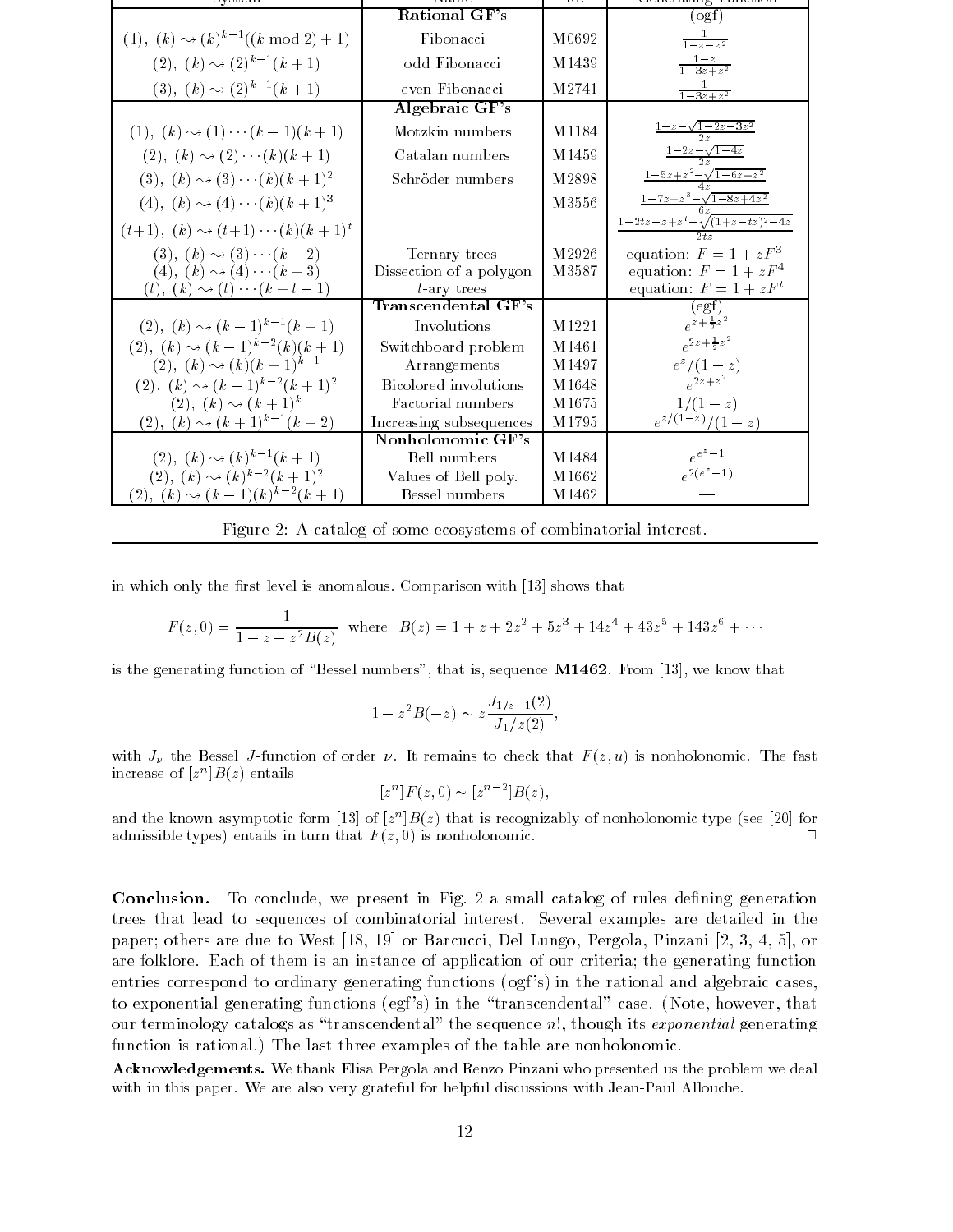|                                                       |                            | IU.   |                                                        |
|-------------------------------------------------------|----------------------------|-------|--------------------------------------------------------|
|                                                       | Rational GF's              |       | $($ ogf $)$                                            |
| $(1), (k) \rightsquigarrow (k)^{k-1}((k \mod 2) + 1)$ | Fibonacci                  | M0692 | $\frac{1}{1-z-z^2}$                                    |
| $(2), (k) \rightarrow (2)^{k-1}(k+1)$                 | odd Fibonacci              | M1439 | $\frac{1-z}{1-3z+z^2}$                                 |
| $(3), (k) \rightarrow (2)^{k-1}(k+1)$                 | even Fibonacci             | M2741 | $\frac{1}{1-3z+z^2}$                                   |
|                                                       | Algebraic GF's             |       |                                                        |
| $(1), (k) \rightarrow (1) \cdots (k-1)(k+1)$          | Motzkin numbers            | M1184 | $\frac{1-z-\sqrt{1-2z-3z^2}}{2z}$                      |
| $(2), (k) \rightarrow (2) \cdots (k)(k+1)$            | Catalan numbers            | M1459 | $\frac{1-2z-\sqrt{1-4z}}{2}$                           |
| $(3), (k) \rightarrow (3) \cdots (k)(k+1)^2$          | Schröder numbers           | M2898 | $\frac{1-5z+z^2-\sqrt{1-6z+z^2}}{4z}$                  |
| $(4), (k) \rightarrow (4) \cdots (k)(k+1)^3$          |                            | M3556 | $\frac{1-7z+z^3-\sqrt{1-8z+4z^2}}{6z}$                 |
| $(t+1), (k) \sim (t+1) \cdots (k)(k+1)^t$             |                            |       | $\frac{1-2tz-z+z^t-\sqrt{(1+z-tz)^2-4z}}{2tz}$         |
| $(3), (k) \rightarrow (3) \cdots (k+2)$               | Ternary trees              | M2926 | equation: $F = 1 + zF^3$                               |
| $(4)$ , $(k) \rightsquigarrow (4) \cdots (k+3)$       | Dissection of a polygon    | M3587 | equation: $F = 1 + zF^4$                               |
| $(t), (k) \rightarrow (t) \cdots (k + t - 1)$         | $t$ -ary trees             |       | equation: $F = 1 + zF^t$                               |
|                                                       | <b>Transcendental GF's</b> |       | $\frac{\text{egf}}{e^{z+\frac{1}{2}z^2}}$              |
| $(2), (k) \rightarrow (k-1)^{k-1}(k+1)$               | Involutions                | M1221 |                                                        |
| $(2), (k) \rightarrow (k-1)^{k-2}(k)(k+1)$            | Switchboard problem        | M1461 | $e^{2z+\frac{1}{2}z^2}$                                |
| $(2), (k) \rightarrow (k)(k+1)^{k-1}$                 | Arrangements               | M1497 | $\frac{e^z}{(1-z)}$<br>$\frac{e^{2z+z^2}}{e^{2z+z^2}}$ |
| $(2), (k) \rightarrow (k-1)^{k-2}(k+1)^2$             | Bicolored involutions      | M1648 |                                                        |
| $(2), (k) \rightarrow (k+1)^k$                        | Factorial numbers          | M1675 | $1/(1-z)$                                              |
| $(2), (k) \rightarrow (k+1)^{k-1}(k+2)$               | Increasing subsequences    | M1795 | $e^{z/(1-z)}/(1-z)$                                    |
|                                                       | Nonholonomic GF's          |       |                                                        |
| $(2), (k) \rightarrow (k)^{k-1}(k+1)$                 | Bell numbers               | M1484 | $e^{e^z-1}$                                            |
| $(2), (k) \rightarrow (k)^{k-2}(k+1)^2$               | Values of Bell poly.       | M1662 | $e^{2(e^z-1)}$                                         |
| $(2), (k) \rightarrow (k-1)(k)^{k-2}(k+1)$            | Bessel numbers             | M1462 |                                                        |

Figure 2: A catalog of some ecosystems of combinatorial interest.

in which only the first level is anomalous. Comparison with [13] shows that

$$
F(z,0) = \frac{1}{1-z-z^2B(z)}
$$
 where  $B(z) = 1 + z + 2z^2 + 5z^3 + 14z^4 + 43z^5 + 143z^6 + \cdots$ 

is the generating function of "Bessel numbers", that is, sequence  $M1462$ . From [13], we know that

$$
1 - z2B(-z) \sim z \frac{J_{1/z-1}(2)}{J_1/z(2)},
$$

with  $J_{\nu}$  the Bessel J-function of order  $\nu$ . It remains to check that  $F(z, u)$  is nonholonomic. The fast increase of  $|z^-|D(z)|$  entails  $\qquad$ 

$$
[zn]F(z,0) \sim [zn-2]B(z),
$$

and the known asymptotic form [13] of  $|z^+|D(z)|$  that is recognizably of nonholonomic type (see [20] for admissible types) entails in turn that  $F(z, 0)$  is nonholonomic.

**Conclusion.** To conclude, we present in Fig. 2 a small catalog of rules defining generation trees that lead to sequences of combinatorial interest. Several examples are detailed in the paper; others are due to West [18, 19] or Barcucci, Del Lungo, Pergola, Pinzani [2, 3, 4, 5], or are folklore. Each of them is an instance of application of our criteria; the generating function entries correspond to ordinary generating functions (ogf 's) in the rational and algebraic cases, to exponential generating functions (egf's) in the "transcendental" case. (Note, however, that our terminology catalogs as "transcendental" the sequence  $n!$ , though its *exponential* generating function is rational.) The last three examples of the table are nonholonomic.

Acknowledgements. We thank Elisa Pergola and Renzo Pinzani who presented us the problem we deal with in this paper. We are also very grateful for helpful discussions with Jean-Paul Allouche.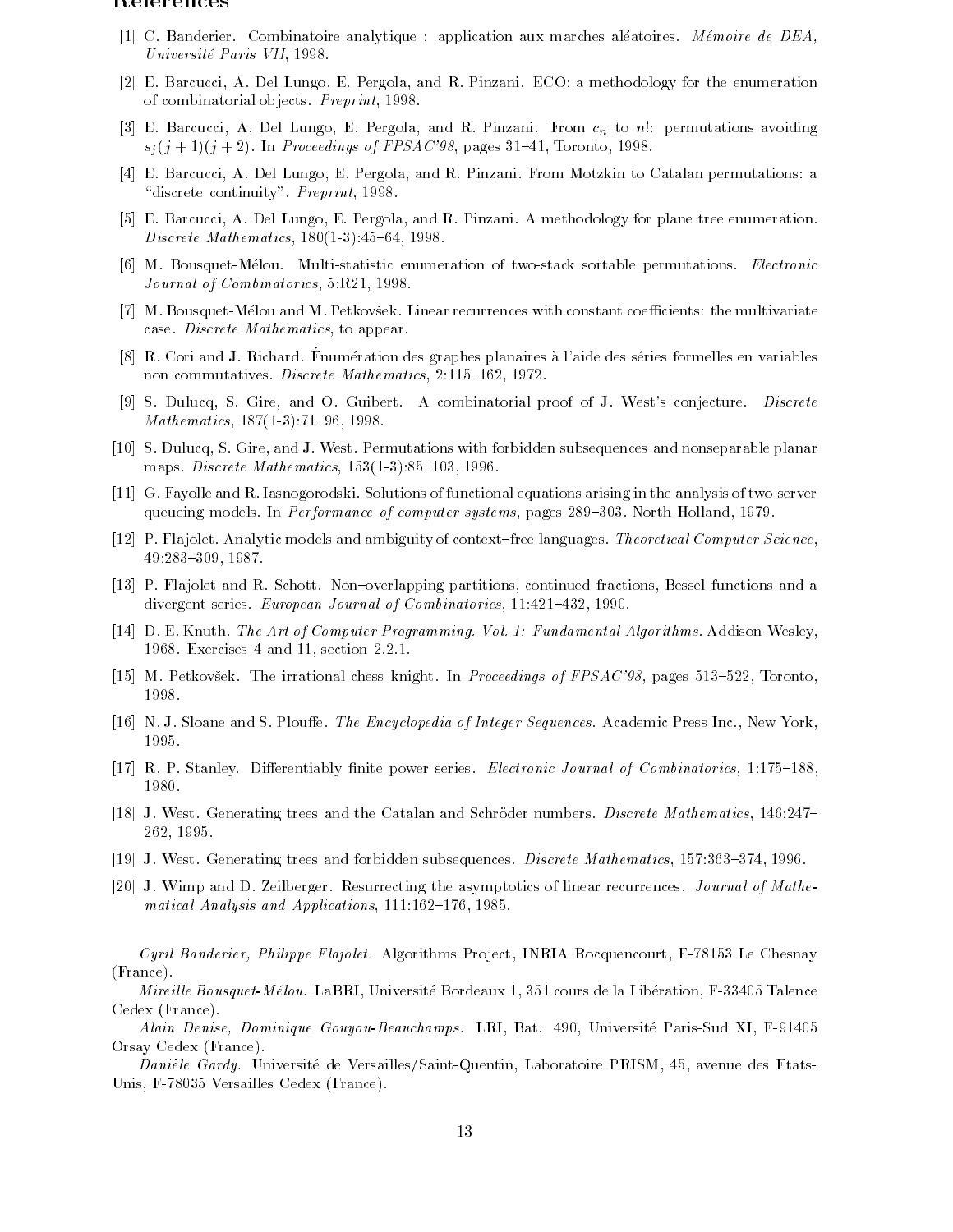#### References

- [1] C. Banderier. Combinatoire analytique : application aux marches aléatoires. *Mémoire de DEA*, Universite Paris VII, 1998.
- [2] E. Barcucci, A. Del Lungo, E. Pergola, and R. Pinzani. ECO: a methodology for the enumeration of combinatorial objects. Preprint, 1998.
- [3] E. Barcucci, A. Del Lungo, E. Pergola, and R. Pinzani. From  $c_n$  to n!: permutations avoiding  $s_j(j+1)(j+2)$ . In Proceedings of FPSAC'98, pages 31-41, Toronto, 1998.
- [4] E. Barcucci, A. Del Lungo, E. Pergola, and R. Pinzani. From Motzkin to Catalan permutations: a "discrete continuity". Preprint, 1998.
- [5] E. Barcucci, A. Del Lungo, E. Pergola, and R. Pinzani. A methodology for plane tree enumeration. Discrete Mathematics,  $180(1-3):45{-}64, 1998$ .
- [6] M. Bousquet-Melou. Multi-statistic enumeration of two-stack sortable permutations. Electronic Journal of Combinatorics, 5:R21, 1998.
- [7] M. Bousquet-Mélou and M. Petkovšek. Linear recurrences with constant coefficients: the multivariate case. Discrete Mathematics, to appear.
- [8] R. Cori and J. Richard. Enumération des graphes planaires à l'aide des séries formelles en variables non commutatives. Discrete Mathematics, 2:115-162, 1972.
- [9] S. Dulucq, S. Gire, and O. Guibert. A combinatorial proof of J. West's conjecture. Discrete  $Mathematics, 187(1-3): 71-96, 1998.$
- [10] S. Dulucq, S. Gire, and J. West. Permutations with forbidden subsequences and nonseparable planar maps. Discrete Mathematics,  $153(1-3)$ :85-103, 1996.
- [11] G. Fayolle and R. Iasnogorodski. Solutions of functional equations arising in the analysis of two-server queueing models. In *Performance of computer systems*, pages 289-303. North-Holland, 1979.
- [12] P. Flajolet. Analytic models and ambiguity of context-free languages. Theoretical Computer Science, 49:283-309, 1987.
- [13] P. Flajolet and R. Schott. Non-overlapping partitions, continued fractions, Bessel functions and a divergent series. European Journal of Combinatorics, 11:421-432, 1990.
- [14] D. E. Knuth. The Art of Computer Programming. Vol. 1: Fundamental Algorithms. Addison-Wesley, 1968. Exercises 4 and 11, section 2.2.1.
- [15] M. Petkovsek. The irrational chess knight. In *Proceedings of FPSAC'98*, pages 513-522, Toronto, 1998.
- [16] N. J. Sloane and S. Plouffe. The Encyclopedia of Integer Sequences. Academic Press Inc., New York, 1995.
- [17] R. P. Stanley. Differentiably finite power series. Electronic Journal of Combinatorics, 1:175-188, 1980.
- [18] J. West. Generating trees and the Catalan and Schröder numbers. Discrete Mathematics, 146:247-262, 1995.
- [19] J. West. Generating trees and forbidden subsequences. *Discrete Mathematics*, 157:363–374, 1996.
- [20] J. Wimp and D. Zeilberger. Resurrecting the asymptotics of linear recurrences. Journal of Mathematical Analysis and Applications,  $111:162-176$ , 1985.

Cyril Banderier, Philippe Flajolet. Algorithms Project, INRIA Rocquencourt, F-78153 Le Chesnay (France).

 $\emph{Mireille Bousguet-Mélow. LaBRI, Université Bordeaux 1, 351 cours de la Libération, F-33405 Talence}$ Cedex (France).

Alain Denise, Dominique Gouyou-Beauchamps. LRI, Bat. 490, Universite Paris-Sud XI, F-91405 Orsay Cedex (France).

Daniele Gardy. Universite de Versailles/Saint-Quentin, Laboratoire PRISM, 45, avenue des Etats-Unis, F-78035 Versailles Cedex (France).